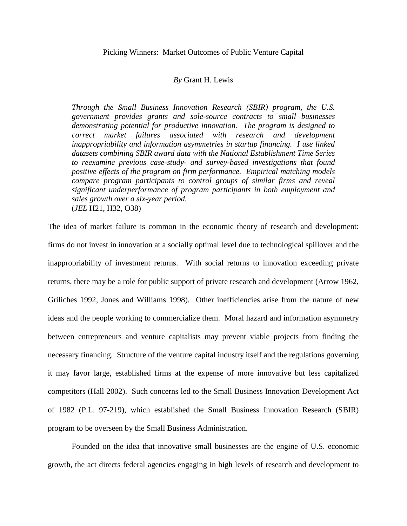### *By* Grant H. Lewis

*Through the Small Business Innovation Research (SBIR) program, the U.S. government provides grants and sole-source contracts to small businesses demonstrating potential for productive innovation. The program is designed to correct market failures associated with research and development inappropriability and information asymmetries in startup financing. I use linked datasets combining SBIR award data with the National Establishment Time Series to reexamine previous case-study- and survey-based investigations that found positive effects of the program on firm performance. Empirical matching models compare program participants to control groups of similar firms and reveal significant underperformance of program participants in both employment and sales growth over a six-year period.* (*JEL* H21, H32, O38)

The idea of market failure is common in the economic theory of research and development: firms do not invest in innovation at a socially optimal level due to technological spillover and the inappropriability of investment returns. With social returns to innovation exceeding private returns, there may be a role for public support of private research and development (Arrow 1962, Griliches 1992, Jones and Williams 1998). Other inefficiencies arise from the nature of new ideas and the people working to commercialize them. Moral hazard and information asymmetry between entrepreneurs and venture capitalists may prevent viable projects from finding the necessary financing. Structure of the venture capital industry itself and the regulations governing it may favor large, established firms at the expense of more innovative but less capitalized competitors (Hall 2002). Such concerns led to the Small Business Innovation Development Act of 1982 (P.L. 97-219), which established the Small Business Innovation Research (SBIR) program to be overseen by the Small Business Administration.

Founded on the idea that innovative small businesses are the engine of U.S. economic growth, the act directs federal agencies engaging in high levels of research and development to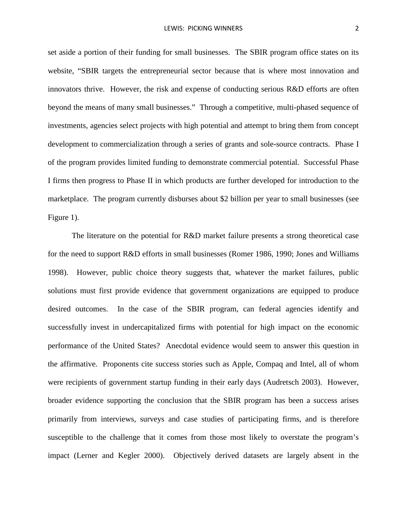set aside a portion of their funding for small businesses. The SBIR program office states on its website, "SBIR targets the entrepreneurial sector because that is where most innovation and innovators thrive. However, the risk and expense of conducting serious R&D efforts are often beyond the means of many small businesses." Through a competitive, multi-phased sequence of investments, agencies select projects with high potential and attempt to bring them from concept development to commercialization through a series of grants and sole-source contracts. Phase I of the program provides limited funding to demonstrate commercial potential. Successful Phase I firms then progress to Phase II in which products are further developed for introduction to the marketplace. The program currently disburses about \$2 billion per year to small businesses (see Figure 1).

The literature on the potential for R&D market failure presents a strong theoretical case for the need to support R&D efforts in small businesses (Romer 1986, 1990; Jones and Williams 1998). However, public choice theory suggests that, whatever the market failures, public solutions must first provide evidence that government organizations are equipped to produce desired outcomes. In the case of the SBIR program, can federal agencies identify and successfully invest in undercapitalized firms with potential for high impact on the economic performance of the United States? Anecdotal evidence would seem to answer this question in the affirmative. Proponents cite success stories such as Apple, Compaq and Intel, all of whom were recipients of government startup funding in their early days (Audretsch 2003). However, broader evidence supporting the conclusion that the SBIR program has been a success arises primarily from interviews, surveys and case studies of participating firms, and is therefore susceptible to the challenge that it comes from those most likely to overstate the program's impact (Lerner and Kegler 2000). Objectively derived datasets are largely absent in the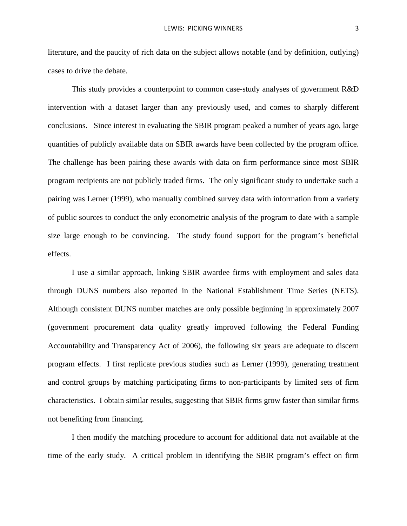literature, and the paucity of rich data on the subject allows notable (and by definition, outlying) cases to drive the debate.

This study provides a counterpoint to common case-study analyses of government R&D intervention with a dataset larger than any previously used, and comes to sharply different conclusions. Since interest in evaluating the SBIR program peaked a number of years ago, large quantities of publicly available data on SBIR awards have been collected by the program office. The challenge has been pairing these awards with data on firm performance since most SBIR program recipients are not publicly traded firms. The only significant study to undertake such a pairing was Lerner (1999), who manually combined survey data with information from a variety of public sources to conduct the only econometric analysis of the program to date with a sample size large enough to be convincing. The study found support for the program's beneficial effects.

I use a similar approach, linking SBIR awardee firms with employment and sales data through DUNS numbers also reported in the National Establishment Time Series (NETS). Although consistent DUNS number matches are only possible beginning in approximately 2007 (government procurement data quality greatly improved following the Federal Funding Accountability and Transparency Act of 2006), the following six years are adequate to discern program effects. I first replicate previous studies such as Lerner (1999), generating treatment and control groups by matching participating firms to non-participants by limited sets of firm characteristics. I obtain similar results, suggesting that SBIR firms grow faster than similar firms not benefiting from financing.

I then modify the matching procedure to account for additional data not available at the time of the early study. A critical problem in identifying the SBIR program's effect on firm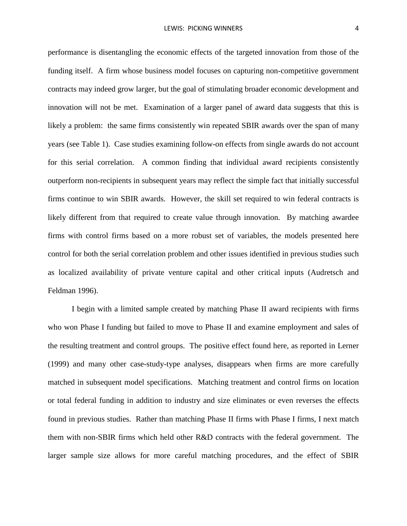performance is disentangling the economic effects of the targeted innovation from those of the funding itself. A firm whose business model focuses on capturing non-competitive government contracts may indeed grow larger, but the goal of stimulating broader economic development and innovation will not be met. Examination of a larger panel of award data suggests that this is likely a problem: the same firms consistently win repeated SBIR awards over the span of many years (see Table 1). Case studies examining follow-on effects from single awards do not account for this serial correlation. A common finding that individual award recipients consistently outperform non-recipients in subsequent years may reflect the simple fact that initially successful firms continue to win SBIR awards. However, the skill set required to win federal contracts is likely different from that required to create value through innovation. By matching awardee firms with control firms based on a more robust set of variables, the models presented here control for both the serial correlation problem and other issues identified in previous studies such as localized availability of private venture capital and other critical inputs (Audretsch and Feldman 1996).

I begin with a limited sample created by matching Phase II award recipients with firms who won Phase I funding but failed to move to Phase II and examine employment and sales of the resulting treatment and control groups. The positive effect found here, as reported in Lerner (1999) and many other case-study-type analyses, disappears when firms are more carefully matched in subsequent model specifications. Matching treatment and control firms on location or total federal funding in addition to industry and size eliminates or even reverses the effects found in previous studies. Rather than matching Phase II firms with Phase I firms, I next match them with non-SBIR firms which held other R&D contracts with the federal government. The larger sample size allows for more careful matching procedures, and the effect of SBIR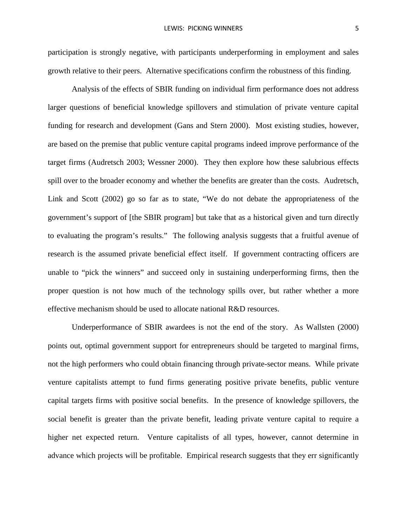participation is strongly negative, with participants underperforming in employment and sales growth relative to their peers. Alternative specifications confirm the robustness of this finding.

Analysis of the effects of SBIR funding on individual firm performance does not address larger questions of beneficial knowledge spillovers and stimulation of private venture capital funding for research and development (Gans and Stern 2000). Most existing studies, however, are based on the premise that public venture capital programs indeed improve performance of the target firms (Audretsch 2003; Wessner 2000). They then explore how these salubrious effects spill over to the broader economy and whether the benefits are greater than the costs. Audretsch, Link and Scott (2002) go so far as to state, "We do not debate the appropriateness of the government's support of [the SBIR program] but take that as a historical given and turn directly to evaluating the program's results." The following analysis suggests that a fruitful avenue of research is the assumed private beneficial effect itself. If government contracting officers are unable to "pick the winners" and succeed only in sustaining underperforming firms, then the proper question is not how much of the technology spills over, but rather whether a more effective mechanism should be used to allocate national R&D resources.

Underperformance of SBIR awardees is not the end of the story. As Wallsten (2000) points out, optimal government support for entrepreneurs should be targeted to marginal firms, not the high performers who could obtain financing through private-sector means. While private venture capitalists attempt to fund firms generating positive private benefits, public venture capital targets firms with positive social benefits. In the presence of knowledge spillovers, the social benefit is greater than the private benefit, leading private venture capital to require a higher net expected return. Venture capitalists of all types, however, cannot determine in advance which projects will be profitable. Empirical research suggests that they err significantly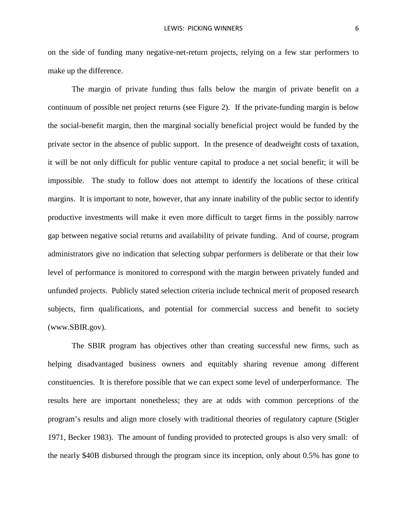on the side of funding many negative-net-return projects, relying on a few star performers to make up the difference.

The margin of private funding thus falls below the margin of private benefit on a continuum of possible net project returns (see Figure 2). If the private-funding margin is below the social-benefit margin, then the marginal socially beneficial project would be funded by the private sector in the absence of public support. In the presence of deadweight costs of taxation, it will be not only difficult for public venture capital to produce a net social benefit; it will be impossible. The study to follow does not attempt to identify the locations of these critical margins. It is important to note, however, that any innate inability of the public sector to identify productive investments will make it even more difficult to target firms in the possibly narrow gap between negative social returns and availability of private funding. And of course, program administrators give no indication that selecting subpar performers is deliberate or that their low level of performance is monitored to correspond with the margin between privately funded and unfunded projects. Publicly stated selection criteria include technical merit of proposed research subjects, firm qualifications, and potential for commercial success and benefit to society (www.SBIR.gov).

The SBIR program has objectives other than creating successful new firms, such as helping disadvantaged business owners and equitably sharing revenue among different constituencies. It is therefore possible that we can expect some level of underperformance. The results here are important nonetheless; they are at odds with common perceptions of the program's results and align more closely with traditional theories of regulatory capture (Stigler 1971, Becker 1983). The amount of funding provided to protected groups is also very small: of the nearly \$40B disbursed through the program since its inception, only about 0.5% has gone to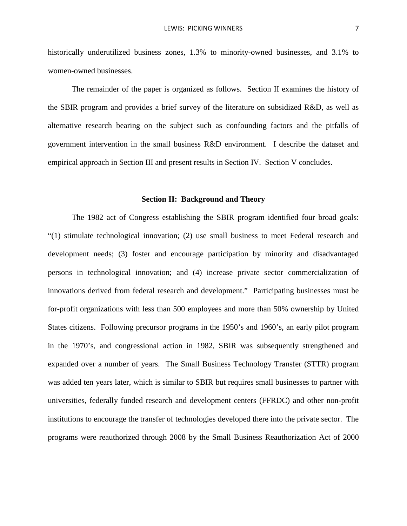historically underutilized business zones, 1.3% to minority-owned businesses, and 3.1% to women-owned businesses.

The remainder of the paper is organized as follows. Section II examines the history of the SBIR program and provides a brief survey of the literature on subsidized R&D, as well as alternative research bearing on the subject such as confounding factors and the pitfalls of government intervention in the small business R&D environment. I describe the dataset and empirical approach in Section III and present results in Section IV. Section V concludes.

#### **Section II: Background and Theory**

The 1982 act of Congress establishing the SBIR program identified four broad goals: "(1) stimulate technological innovation; (2) use small business to meet Federal research and development needs; (3) foster and encourage participation by minority and disadvantaged persons in technological innovation; and (4) increase private sector commercialization of innovations derived from federal research and development." Participating businesses must be for-profit organizations with less than 500 employees and more than 50% ownership by United States citizens. Following precursor programs in the 1950's and 1960's, an early pilot program in the 1970's, and congressional action in 1982, SBIR was subsequently strengthened and expanded over a number of years. The Small Business Technology Transfer (STTR) program was added ten years later, which is similar to SBIR but requires small businesses to partner with universities, federally funded research and development centers (FFRDC) and other non-profit institutions to encourage the transfer of technologies developed there into the private sector. The programs were reauthorized through 2008 by the Small Business Reauthorization Act of 2000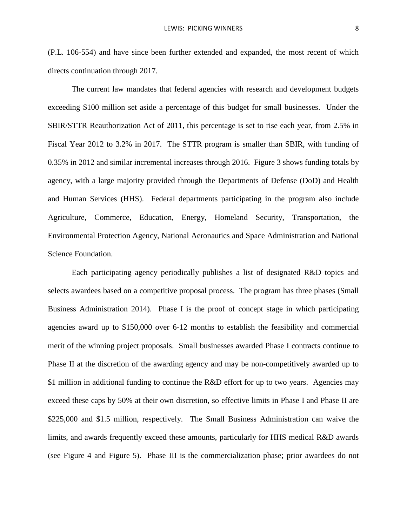(P.L. 106-554) and have since been further extended and expanded, the most recent of which directs continuation through 2017.

The current law mandates that federal agencies with research and development budgets exceeding \$100 million set aside a percentage of this budget for small businesses. Under the SBIR/STTR Reauthorization Act of 2011, this percentage is set to rise each year, from 2.5% in Fiscal Year 2012 to 3.2% in 2017. The STTR program is smaller than SBIR, with funding of 0.35% in 2012 and similar incremental increases through 2016. Figure 3 shows funding totals by agency, with a large majority provided through the Departments of Defense (DoD) and Health and Human Services (HHS). Federal departments participating in the program also include Agriculture, Commerce, Education, Energy, Homeland Security, Transportation, the Environmental Protection Agency, National Aeronautics and Space Administration and National Science Foundation.

Each participating agency periodically publishes a list of designated R&D topics and selects awardees based on a competitive proposal process. The program has three phases (Small Business Administration 2014). Phase I is the proof of concept stage in which participating agencies award up to \$150,000 over 6-12 months to establish the feasibility and commercial merit of the winning project proposals. Small businesses awarded Phase I contracts continue to Phase II at the discretion of the awarding agency and may be non-competitively awarded up to \$1 million in additional funding to continue the R&D effort for up to two years. Agencies may exceed these caps by 50% at their own discretion, so effective limits in Phase I and Phase II are \$225,000 and \$1.5 million, respectively. The Small Business Administration can waive the limits, and awards frequently exceed these amounts, particularly for HHS medical R&D awards (see Figure 4 and Figure 5). Phase III is the commercialization phase; prior awardees do not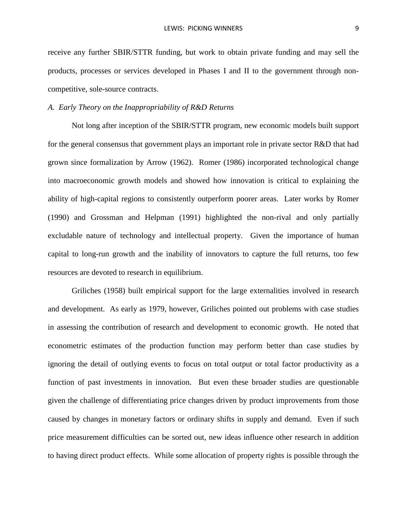receive any further SBIR/STTR funding, but work to obtain private funding and may sell the products, processes or services developed in Phases I and II to the government through noncompetitive, sole-source contracts.

### *A. Early Theory on the Inappropriability of R&D Returns*

Not long after inception of the SBIR/STTR program, new economic models built support for the general consensus that government plays an important role in private sector R&D that had grown since formalization by Arrow (1962). Romer (1986) incorporated technological change into macroeconomic growth models and showed how innovation is critical to explaining the ability of high-capital regions to consistently outperform poorer areas. Later works by Romer (1990) and Grossman and Helpman (1991) highlighted the non-rival and only partially excludable nature of technology and intellectual property. Given the importance of human capital to long-run growth and the inability of innovators to capture the full returns, too few resources are devoted to research in equilibrium.

Griliches (1958) built empirical support for the large externalities involved in research and development. As early as 1979, however, Griliches pointed out problems with case studies in assessing the contribution of research and development to economic growth. He noted that econometric estimates of the production function may perform better than case studies by ignoring the detail of outlying events to focus on total output or total factor productivity as a function of past investments in innovation. But even these broader studies are questionable given the challenge of differentiating price changes driven by product improvements from those caused by changes in monetary factors or ordinary shifts in supply and demand. Even if such price measurement difficulties can be sorted out, new ideas influence other research in addition to having direct product effects. While some allocation of property rights is possible through the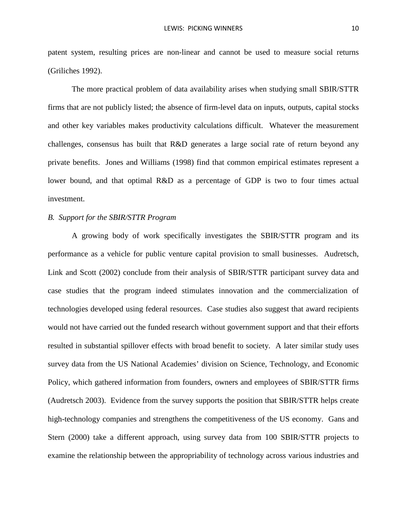patent system, resulting prices are non-linear and cannot be used to measure social returns (Griliches 1992).

The more practical problem of data availability arises when studying small SBIR/STTR firms that are not publicly listed; the absence of firm-level data on inputs, outputs, capital stocks and other key variables makes productivity calculations difficult. Whatever the measurement challenges, consensus has built that R&D generates a large social rate of return beyond any private benefits. Jones and Williams (1998) find that common empirical estimates represent a lower bound, and that optimal R&D as a percentage of GDP is two to four times actual investment.

### *B. Support for the SBIR/STTR Program*

A growing body of work specifically investigates the SBIR/STTR program and its performance as a vehicle for public venture capital provision to small businesses. Audretsch, Link and Scott (2002) conclude from their analysis of SBIR/STTR participant survey data and case studies that the program indeed stimulates innovation and the commercialization of technologies developed using federal resources. Case studies also suggest that award recipients would not have carried out the funded research without government support and that their efforts resulted in substantial spillover effects with broad benefit to society. A later similar study uses survey data from the US National Academies' division on Science, Technology, and Economic Policy, which gathered information from founders, owners and employees of SBIR/STTR firms (Audretsch 2003). Evidence from the survey supports the position that SBIR/STTR helps create high-technology companies and strengthens the competitiveness of the US economy. Gans and Stern (2000) take a different approach, using survey data from 100 SBIR/STTR projects to examine the relationship between the appropriability of technology across various industries and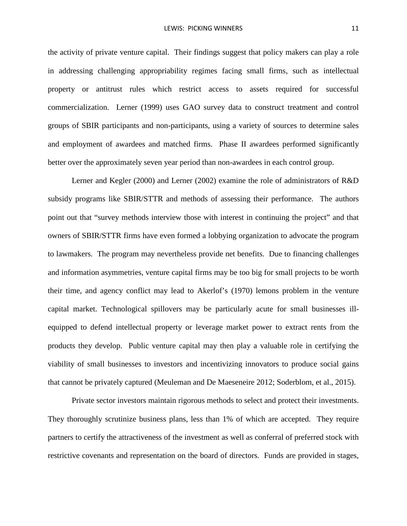the activity of private venture capital. Their findings suggest that policy makers can play a role in addressing challenging appropriability regimes facing small firms, such as intellectual property or antitrust rules which restrict access to assets required for successful commercialization. Lerner (1999) uses GAO survey data to construct treatment and control groups of SBIR participants and non-participants, using a variety of sources to determine sales and employment of awardees and matched firms. Phase II awardees performed significantly better over the approximately seven year period than non-awardees in each control group.

Lerner and Kegler (2000) and Lerner (2002) examine the role of administrators of R&D subsidy programs like SBIR/STTR and methods of assessing their performance. The authors point out that "survey methods interview those with interest in continuing the project" and that owners of SBIR/STTR firms have even formed a lobbying organization to advocate the program to lawmakers. The program may nevertheless provide net benefits. Due to financing challenges and information asymmetries, venture capital firms may be too big for small projects to be worth their time, and agency conflict may lead to Akerlof's (1970) lemons problem in the venture capital market. Technological spillovers may be particularly acute for small businesses illequipped to defend intellectual property or leverage market power to extract rents from the products they develop. Public venture capital may then play a valuable role in certifying the viability of small businesses to investors and incentivizing innovators to produce social gains that cannot be privately captured (Meuleman and De Maeseneire 2012; Soderblom, et al., 2015).

Private sector investors maintain rigorous methods to select and protect their investments. They thoroughly scrutinize business plans, less than 1% of which are accepted. They require partners to certify the attractiveness of the investment as well as conferral of preferred stock with restrictive covenants and representation on the board of directors. Funds are provided in stages,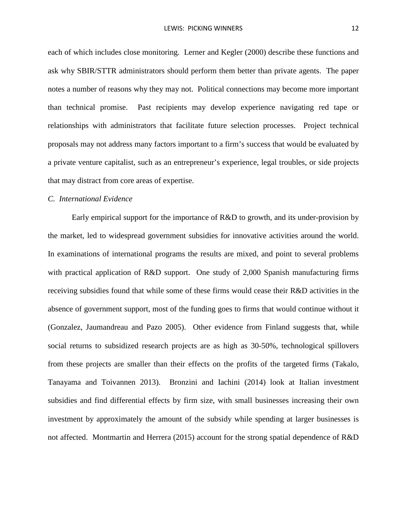each of which includes close monitoring. Lerner and Kegler (2000) describe these functions and ask why SBIR/STTR administrators should perform them better than private agents. The paper notes a number of reasons why they may not. Political connections may become more important than technical promise. Past recipients may develop experience navigating red tape or relationships with administrators that facilitate future selection processes. Project technical proposals may not address many factors important to a firm's success that would be evaluated by a private venture capitalist, such as an entrepreneur's experience, legal troubles, or side projects that may distract from core areas of expertise.

### *C. International Evidence*

Early empirical support for the importance of R&D to growth, and its under-provision by the market, led to widespread government subsidies for innovative activities around the world. In examinations of international programs the results are mixed, and point to several problems with practical application of R&D support. One study of 2,000 Spanish manufacturing firms receiving subsidies found that while some of these firms would cease their R&D activities in the absence of government support, most of the funding goes to firms that would continue without it (Gonzalez, Jaumandreau and Pazo 2005). Other evidence from Finland suggests that, while social returns to subsidized research projects are as high as 30-50%, technological spillovers from these projects are smaller than their effects on the profits of the targeted firms (Takalo, Tanayama and Toivannen 2013). Bronzini and Iachini (2014) look at Italian investment subsidies and find differential effects by firm size, with small businesses increasing their own investment by approximately the amount of the subsidy while spending at larger businesses is not affected. Montmartin and Herrera (2015) account for the strong spatial dependence of R&D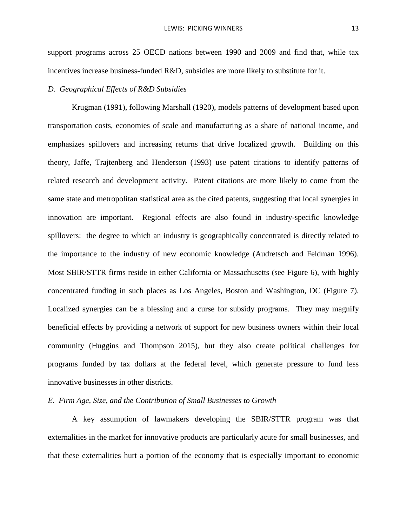support programs across 25 OECD nations between 1990 and 2009 and find that, while tax incentives increase business-funded R&D, subsidies are more likely to substitute for it.

### *D. Geographical Effects of R&D Subsidies*

Krugman (1991), following Marshall (1920), models patterns of development based upon transportation costs, economies of scale and manufacturing as a share of national income, and emphasizes spillovers and increasing returns that drive localized growth. Building on this theory, Jaffe, Trajtenberg and Henderson (1993) use patent citations to identify patterns of related research and development activity. Patent citations are more likely to come from the same state and metropolitan statistical area as the cited patents, suggesting that local synergies in innovation are important. Regional effects are also found in industry-specific knowledge spillovers: the degree to which an industry is geographically concentrated is directly related to the importance to the industry of new economic knowledge (Audretsch and Feldman 1996). Most SBIR/STTR firms reside in either California or Massachusetts (see Figure 6), with highly concentrated funding in such places as Los Angeles, Boston and Washington, DC (Figure 7). Localized synergies can be a blessing and a curse for subsidy programs. They may magnify beneficial effects by providing a network of support for new business owners within their local community (Huggins and Thompson 2015), but they also create political challenges for programs funded by tax dollars at the federal level, which generate pressure to fund less innovative businesses in other districts.

### *E. Firm Age, Size, and the Contribution of Small Businesses to Growth*

A key assumption of lawmakers developing the SBIR/STTR program was that externalities in the market for innovative products are particularly acute for small businesses, and that these externalities hurt a portion of the economy that is especially important to economic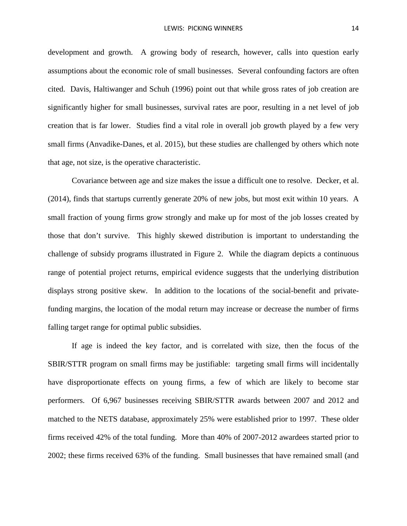development and growth. A growing body of research, however, calls into question early assumptions about the economic role of small businesses. Several confounding factors are often cited. Davis, Haltiwanger and Schuh (1996) point out that while gross rates of job creation are significantly higher for small businesses, survival rates are poor, resulting in a net level of job creation that is far lower. Studies find a vital role in overall job growth played by a few very small firms (Anvadike-Danes, et al. 2015), but these studies are challenged by others which note that age, not size, is the operative characteristic.

Covariance between age and size makes the issue a difficult one to resolve. Decker, et al. (2014), finds that startups currently generate 20% of new jobs, but most exit within 10 years. A small fraction of young firms grow strongly and make up for most of the job losses created by those that don't survive. This highly skewed distribution is important to understanding the challenge of subsidy programs illustrated in [Figure 2.](#page-37-0) While the diagram depicts a continuous range of potential project returns, empirical evidence suggests that the underlying distribution displays strong positive skew. In addition to the locations of the social-benefit and privatefunding margins, the location of the modal return may increase or decrease the number of firms falling target range for optimal public subsidies.

If age is indeed the key factor, and is correlated with size, then the focus of the SBIR/STTR program on small firms may be justifiable: targeting small firms will incidentally have disproportionate effects on young firms, a few of which are likely to become star performers. Of 6,967 businesses receiving SBIR/STTR awards between 2007 and 2012 and matched to the NETS database, approximately 25% were established prior to 1997. These older firms received 42% of the total funding. More than 40% of 2007-2012 awardees started prior to 2002; these firms received 63% of the funding. Small businesses that have remained small (and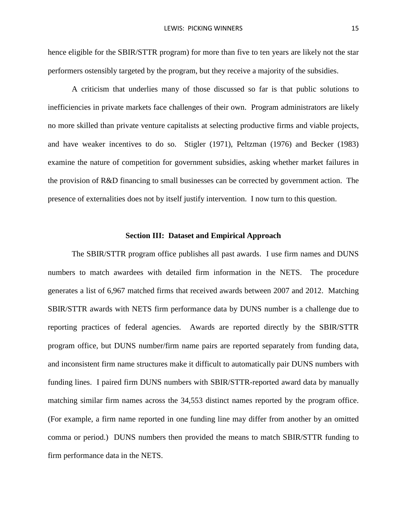hence eligible for the SBIR/STTR program) for more than five to ten years are likely not the star performers ostensibly targeted by the program, but they receive a majority of the subsidies.

A criticism that underlies many of those discussed so far is that public solutions to inefficiencies in private markets face challenges of their own. Program administrators are likely no more skilled than private venture capitalists at selecting productive firms and viable projects, and have weaker incentives to do so. Stigler (1971), Peltzman (1976) and Becker (1983) examine the nature of competition for government subsidies, asking whether market failures in the provision of R&D financing to small businesses can be corrected by government action. The presence of externalities does not by itself justify intervention. I now turn to this question.

### **Section III: Dataset and Empirical Approach**

The SBIR/STTR program office publishes all past awards. I use firm names and DUNS numbers to match awardees with detailed firm information in the NETS. The procedure generates a list of 6,967 matched firms that received awards between 2007 and 2012. Matching SBIR/STTR awards with NETS firm performance data by DUNS number is a challenge due to reporting practices of federal agencies. Awards are reported directly by the SBIR/STTR program office, but DUNS number/firm name pairs are reported separately from funding data, and inconsistent firm name structures make it difficult to automatically pair DUNS numbers with funding lines. I paired firm DUNS numbers with SBIR/STTR-reported award data by manually matching similar firm names across the 34,553 distinct names reported by the program office. (For example, a firm name reported in one funding line may differ from another by an omitted comma or period.) DUNS numbers then provided the means to match SBIR/STTR funding to firm performance data in the NETS.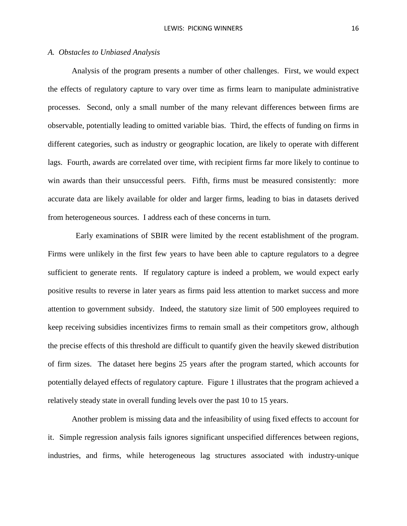#### *A. Obstacles to Unbiased Analysis*

Analysis of the program presents a number of other challenges. First, we would expect the effects of regulatory capture to vary over time as firms learn to manipulate administrative processes. Second, only a small number of the many relevant differences between firms are observable, potentially leading to omitted variable bias. Third, the effects of funding on firms in different categories, such as industry or geographic location, are likely to operate with different lags. Fourth, awards are correlated over time, with recipient firms far more likely to continue to win awards than their unsuccessful peers. Fifth, firms must be measured consistently: more accurate data are likely available for older and larger firms, leading to bias in datasets derived from heterogeneous sources. I address each of these concerns in turn.

 Early examinations of SBIR were limited by the recent establishment of the program. Firms were unlikely in the first few years to have been able to capture regulators to a degree sufficient to generate rents. If regulatory capture is indeed a problem, we would expect early positive results to reverse in later years as firms paid less attention to market success and more attention to government subsidy. Indeed, the statutory size limit of 500 employees required to keep receiving subsidies incentivizes firms to remain small as their competitors grow, although the precise effects of this threshold are difficult to quantify given the heavily skewed distribution of firm sizes. The dataset here begins 25 years after the program started, which accounts for potentially delayed effects of regulatory capture. Figure 1 illustrates that the program achieved a relatively steady state in overall funding levels over the past 10 to 15 years.

Another problem is missing data and the infeasibility of using fixed effects to account for it. Simple regression analysis fails ignores significant unspecified differences between regions, industries, and firms, while heterogeneous lag structures associated with industry-unique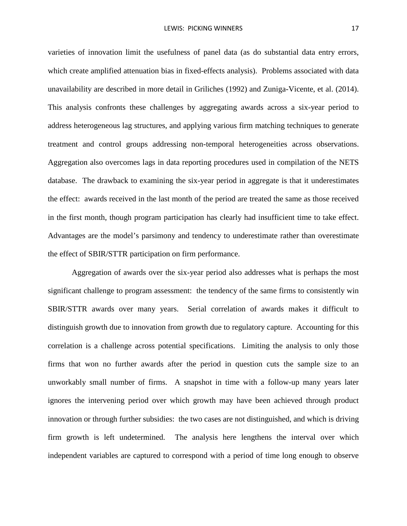varieties of innovation limit the usefulness of panel data (as do substantial data entry errors, which create amplified attenuation bias in fixed-effects analysis). Problems associated with data unavailability are described in more detail in Griliches (1992) and Zuniga-Vicente, et al. (2014). This analysis confronts these challenges by aggregating awards across a six-year period to address heterogeneous lag structures, and applying various firm matching techniques to generate treatment and control groups addressing non-temporal heterogeneities across observations. Aggregation also overcomes lags in data reporting procedures used in compilation of the NETS database. The drawback to examining the six-year period in aggregate is that it underestimates the effect: awards received in the last month of the period are treated the same as those received in the first month, though program participation has clearly had insufficient time to take effect. Advantages are the model's parsimony and tendency to underestimate rather than overestimate the effect of SBIR/STTR participation on firm performance.

Aggregation of awards over the six-year period also addresses what is perhaps the most significant challenge to program assessment: the tendency of the same firms to consistently win SBIR/STTR awards over many years. Serial correlation of awards makes it difficult to distinguish growth due to innovation from growth due to regulatory capture. Accounting for this correlation is a challenge across potential specifications. Limiting the analysis to only those firms that won no further awards after the period in question cuts the sample size to an unworkably small number of firms. A snapshot in time with a follow-up many years later ignores the intervening period over which growth may have been achieved through product innovation or through further subsidies: the two cases are not distinguished, and which is driving firm growth is left undetermined. The analysis here lengthens the interval over which independent variables are captured to correspond with a period of time long enough to observe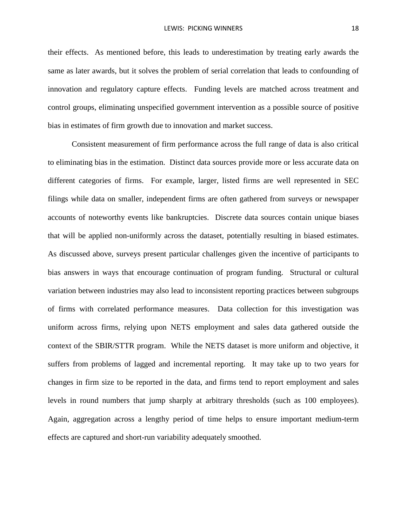their effects. As mentioned before, this leads to underestimation by treating early awards the same as later awards, but it solves the problem of serial correlation that leads to confounding of innovation and regulatory capture effects. Funding levels are matched across treatment and control groups, eliminating unspecified government intervention as a possible source of positive bias in estimates of firm growth due to innovation and market success.

Consistent measurement of firm performance across the full range of data is also critical to eliminating bias in the estimation. Distinct data sources provide more or less accurate data on different categories of firms. For example, larger, listed firms are well represented in SEC filings while data on smaller, independent firms are often gathered from surveys or newspaper accounts of noteworthy events like bankruptcies. Discrete data sources contain unique biases that will be applied non-uniformly across the dataset, potentially resulting in biased estimates. As discussed above, surveys present particular challenges given the incentive of participants to bias answers in ways that encourage continuation of program funding. Structural or cultural variation between industries may also lead to inconsistent reporting practices between subgroups of firms with correlated performance measures. Data collection for this investigation was uniform across firms, relying upon NETS employment and sales data gathered outside the context of the SBIR/STTR program. While the NETS dataset is more uniform and objective, it suffers from problems of lagged and incremental reporting. It may take up to two years for changes in firm size to be reported in the data, and firms tend to report employment and sales levels in round numbers that jump sharply at arbitrary thresholds (such as 100 employees). Again, aggregation across a lengthy period of time helps to ensure important medium-term effects are captured and short-run variability adequately smoothed.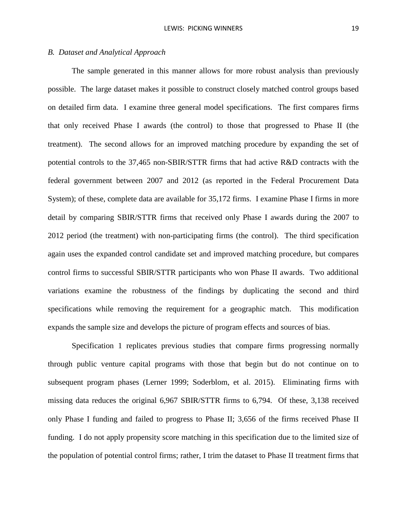### *B. Dataset and Analytical Approach*

The sample generated in this manner allows for more robust analysis than previously possible. The large dataset makes it possible to construct closely matched control groups based on detailed firm data. I examine three general model specifications. The first compares firms that only received Phase I awards (the control) to those that progressed to Phase II (the treatment). The second allows for an improved matching procedure by expanding the set of potential controls to the 37,465 non-SBIR/STTR firms that had active R&D contracts with the federal government between 2007 and 2012 (as reported in the Federal Procurement Data System); of these, complete data are available for 35,172 firms. I examine Phase I firms in more detail by comparing SBIR/STTR firms that received only Phase I awards during the 2007 to 2012 period (the treatment) with non-participating firms (the control). The third specification again uses the expanded control candidate set and improved matching procedure, but compares control firms to successful SBIR/STTR participants who won Phase II awards. Two additional variations examine the robustness of the findings by duplicating the second and third specifications while removing the requirement for a geographic match. This modification expands the sample size and develops the picture of program effects and sources of bias.

Specification 1 replicates previous studies that compare firms progressing normally through public venture capital programs with those that begin but do not continue on to subsequent program phases (Lerner 1999; Soderblom, et al. 2015). Eliminating firms with missing data reduces the original 6,967 SBIR/STTR firms to 6,794. Of these, 3,138 received only Phase I funding and failed to progress to Phase II; 3,656 of the firms received Phase II funding. I do not apply propensity score matching in this specification due to the limited size of the population of potential control firms; rather, I trim the dataset to Phase II treatment firms that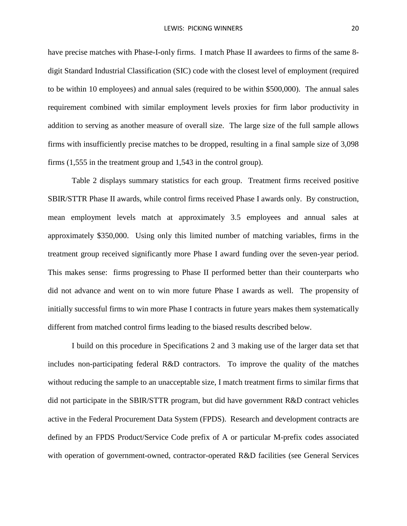have precise matches with Phase-I-only firms. I match Phase II awardees to firms of the same 8 digit Standard Industrial Classification (SIC) code with the closest level of employment (required to be within 10 employees) and annual sales (required to be within \$500,000). The annual sales requirement combined with similar employment levels proxies for firm labor productivity in addition to serving as another measure of overall size. The large size of the full sample allows firms with insufficiently precise matches to be dropped, resulting in a final sample size of 3,098 firms (1,555 in the treatment group and 1,543 in the control group).

Table 2 displays summary statistics for each group. Treatment firms received positive SBIR/STTR Phase II awards, while control firms received Phase I awards only. By construction, mean employment levels match at approximately 3.5 employees and annual sales at approximately \$350,000. Using only this limited number of matching variables, firms in the treatment group received significantly more Phase I award funding over the seven-year period. This makes sense: firms progressing to Phase II performed better than their counterparts who did not advance and went on to win more future Phase I awards as well. The propensity of initially successful firms to win more Phase I contracts in future years makes them systematically different from matched control firms leading to the biased results described below.

I build on this procedure in Specifications 2 and 3 making use of the larger data set that includes non-participating federal R&D contractors. To improve the quality of the matches without reducing the sample to an unacceptable size, I match treatment firms to similar firms that did not participate in the SBIR/STTR program, but did have government R&D contract vehicles active in the Federal Procurement Data System (FPDS). Research and development contracts are defined by an FPDS Product/Service Code prefix of A or particular M-prefix codes associated with operation of government-owned, contractor-operated R&D facilities (see General Services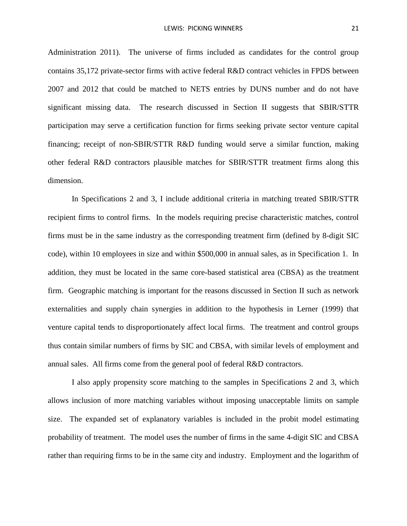Administration 2011). The universe of firms included as candidates for the control group contains 35,172 private-sector firms with active federal R&D contract vehicles in FPDS between 2007 and 2012 that could be matched to NETS entries by DUNS number and do not have significant missing data. The research discussed in Section II suggests that SBIR/STTR participation may serve a certification function for firms seeking private sector venture capital financing; receipt of non-SBIR/STTR R&D funding would serve a similar function, making other federal R&D contractors plausible matches for SBIR/STTR treatment firms along this dimension.

In Specifications 2 and 3, I include additional criteria in matching treated SBIR/STTR recipient firms to control firms. In the models requiring precise characteristic matches, control firms must be in the same industry as the corresponding treatment firm (defined by 8-digit SIC code), within 10 employees in size and within \$500,000 in annual sales, as in Specification 1. In addition, they must be located in the same core-based statistical area (CBSA) as the treatment firm. Geographic matching is important for the reasons discussed in Section II such as network externalities and supply chain synergies in addition to the hypothesis in Lerner (1999) that venture capital tends to disproportionately affect local firms. The treatment and control groups thus contain similar numbers of firms by SIC and CBSA, with similar levels of employment and annual sales. All firms come from the general pool of federal R&D contractors.

I also apply propensity score matching to the samples in Specifications 2 and 3, which allows inclusion of more matching variables without imposing unacceptable limits on sample size. The expanded set of explanatory variables is included in the probit model estimating probability of treatment. The model uses the number of firms in the same 4-digit SIC and CBSA rather than requiring firms to be in the same city and industry. Employment and the logarithm of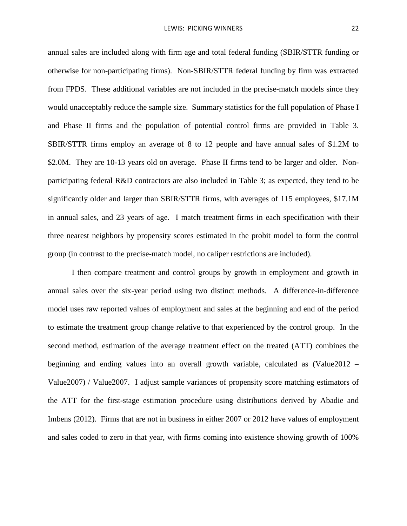annual sales are included along with firm age and total federal funding (SBIR/STTR funding or otherwise for non-participating firms). Non-SBIR/STTR federal funding by firm was extracted from FPDS. These additional variables are not included in the precise-match models since they would unacceptably reduce the sample size. Summary statistics for the full population of Phase I and Phase II firms and the population of potential control firms are provided in [Table 3.](#page-40-0) SBIR/STTR firms employ an average of 8 to 12 people and have annual sales of \$1.2M to \$2.0M. They are 10-13 years old on average. Phase II firms tend to be larger and older. Nonparticipating federal R&D contractors are also included in [Table 3;](#page-40-0) as expected, they tend to be significantly older and larger than SBIR/STTR firms, with averages of 115 employees, \$17.1M in annual sales, and 23 years of age. I match treatment firms in each specification with their three nearest neighbors by propensity scores estimated in the probit model to form the control group (in contrast to the precise-match model, no caliper restrictions are included).

I then compare treatment and control groups by growth in employment and growth in annual sales over the six-year period using two distinct methods. A difference-in-difference model uses raw reported values of employment and sales at the beginning and end of the period to estimate the treatment group change relative to that experienced by the control group. In the second method, estimation of the average treatment effect on the treated (ATT) combines the beginning and ending values into an overall growth variable, calculated as (Value2012 – Value2007) / Value2007. I adjust sample variances of propensity score matching estimators of the ATT for the first-stage estimation procedure using distributions derived by Abadie and Imbens (2012). Firms that are not in business in either 2007 or 2012 have values of employment and sales coded to zero in that year, with firms coming into existence showing growth of 100%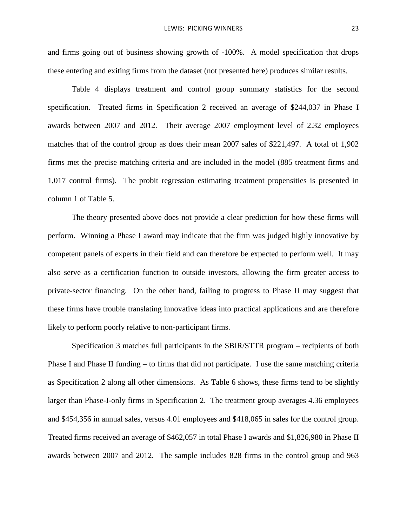and firms going out of business showing growth of -100%. A model specification that drops these entering and exiting firms from the dataset (not presented here) produces similar results.

Table 4 displays treatment and control group summary statistics for the second specification. Treated firms in Specification 2 received an average of \$244,037 in Phase I awards between 2007 and 2012. Their average 2007 employment level of 2.32 employees matches that of the control group as does their mean 2007 sales of \$221,497. A total of 1,902 firms met the precise matching criteria and are included in the model (885 treatment firms and 1,017 control firms). The probit regression estimating treatment propensities is presented in column 1 of Table 5.

The theory presented above does not provide a clear prediction for how these firms will perform. Winning a Phase I award may indicate that the firm was judged highly innovative by competent panels of experts in their field and can therefore be expected to perform well. It may also serve as a certification function to outside investors, allowing the firm greater access to private-sector financing. On the other hand, failing to progress to Phase II may suggest that these firms have trouble translating innovative ideas into practical applications and are therefore likely to perform poorly relative to non-participant firms.

Specification 3 matches full participants in the SBIR/STTR program – recipients of both Phase I and Phase II funding – to firms that did not participate. I use the same matching criteria as Specification 2 along all other dimensions. As Table 6 shows, these firms tend to be slightly larger than Phase-I-only firms in Specification 2. The treatment group averages 4.36 employees and \$454,356 in annual sales, versus 4.01 employees and \$418,065 in sales for the control group. Treated firms received an average of \$462,057 in total Phase I awards and \$1,826,980 in Phase II awards between 2007 and 2012. The sample includes 828 firms in the control group and 963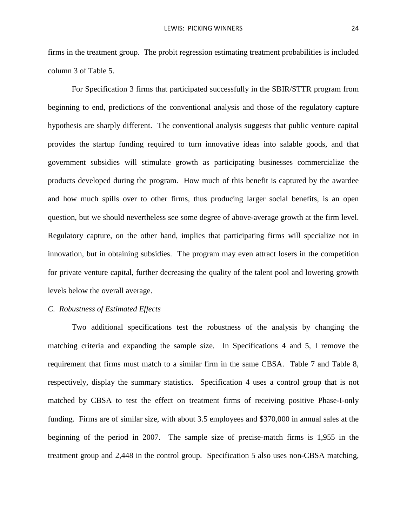firms in the treatment group. The probit regression estimating treatment probabilities is included column 3 of Table 5.

For Specification 3 firms that participated successfully in the SBIR/STTR program from beginning to end, predictions of the conventional analysis and those of the regulatory capture hypothesis are sharply different. The conventional analysis suggests that public venture capital provides the startup funding required to turn innovative ideas into salable goods, and that government subsidies will stimulate growth as participating businesses commercialize the products developed during the program. How much of this benefit is captured by the awardee and how much spills over to other firms, thus producing larger social benefits, is an open question, but we should nevertheless see some degree of above-average growth at the firm level. Regulatory capture, on the other hand, implies that participating firms will specialize not in innovation, but in obtaining subsidies. The program may even attract losers in the competition for private venture capital, further decreasing the quality of the talent pool and lowering growth levels below the overall average.

### *C. Robustness of Estimated Effects*

Two additional specifications test the robustness of the analysis by changing the matching criteria and expanding the sample size. In Specifications 4 and 5, I remove the requirement that firms must match to a similar firm in the same CBSA. Table 7 and Table 8, respectively, display the summary statistics. Specification 4 uses a control group that is not matched by CBSA to test the effect on treatment firms of receiving positive Phase-I-only funding. Firms are of similar size, with about 3.5 employees and \$370,000 in annual sales at the beginning of the period in 2007. The sample size of precise-match firms is 1,955 in the treatment group and 2,448 in the control group. Specification 5 also uses non-CBSA matching,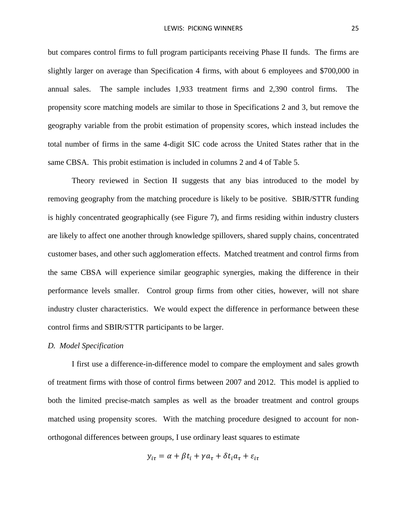but compares control firms to full program participants receiving Phase II funds. The firms are slightly larger on average than Specification 4 firms, with about 6 employees and \$700,000 in annual sales. The sample includes 1,933 treatment firms and 2,390 control firms. The propensity score matching models are similar to those in Specifications 2 and 3, but remove the geography variable from the probit estimation of propensity scores, which instead includes the total number of firms in the same 4-digit SIC code across the United States rather that in the same CBSA. This probit estimation is included in columns 2 and 4 of Table 5.

Theory reviewed in Section II suggests that any bias introduced to the model by removing geography from the matching procedure is likely to be positive. SBIR/STTR funding is highly concentrated geographically (see Figure 7), and firms residing within industry clusters are likely to affect one another through knowledge spillovers, shared supply chains, concentrated customer bases, and other such agglomeration effects. Matched treatment and control firms from the same CBSA will experience similar geographic synergies, making the difference in their performance levels smaller. Control group firms from other cities, however, will not share industry cluster characteristics. We would expect the difference in performance between these control firms and SBIR/STTR participants to be larger.

#### *D. Model Specification*

I first use a difference-in-difference model to compare the employment and sales growth of treatment firms with those of control firms between 2007 and 2012. This model is applied to both the limited precise-match samples as well as the broader treatment and control groups matched using propensity scores. With the matching procedure designed to account for nonorthogonal differences between groups, I use ordinary least squares to estimate

$$
y_{i\tau} = \alpha + \beta t_i + \gamma a_{\tau} + \delta t_i a_{\tau} + \varepsilon_{i\tau}
$$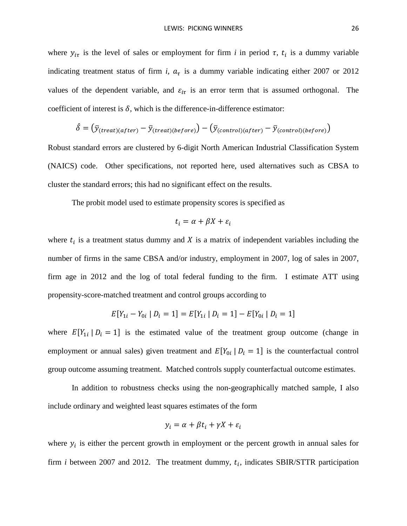where  $y_{i\tau}$  is the level of sales or employment for firm *i* in period  $\tau$ ,  $t_i$  is a dummy variable indicating treatment status of firm *i*,  $a<sub>\tau</sub>$  is a dummy variable indicating either 2007 or 2012 values of the dependent variable, and  $\varepsilon_{i\tau}$  is an error term that is assumed orthogonal. The coefficient of interest is  $\delta$ , which is the difference-in-difference estimator:

$$
\hat{\delta} = (\bar{y}_{(treat)(after)} - \bar{y}_{(treat)(before)}) - (\bar{y}_{(control)(after)} - \bar{y}_{(control)(before)})
$$

Robust standard errors are clustered by 6-digit North American Industrial Classification System (NAICS) code. Other specifications, not reported here, used alternatives such as CBSA to cluster the standard errors; this had no significant effect on the results.

The probit model used to estimate propensity scores is specified as

$$
t_i = \alpha + \beta X + \varepsilon_i
$$

where  $t_i$  is a treatment status dummy and X is a matrix of independent variables including the number of firms in the same CBSA and/or industry, employment in 2007, log of sales in 2007, firm age in 2012 and the log of total federal funding to the firm. I estimate ATT using propensity-score-matched treatment and control groups according to

$$
E[Y_{1i} - Y_{0i} | D_i = 1] = E[Y_{1i} | D_i = 1] - E[Y_{0i} | D_i = 1]
$$

where  $E[Y_{1i} | D_i = 1]$  is the estimated value of the treatment group outcome (change in employment or annual sales) given treatment and  $E[Y_{0i} | D_i = 1]$  is the counterfactual control group outcome assuming treatment. Matched controls supply counterfactual outcome estimates.

In addition to robustness checks using the non-geographically matched sample, I also include ordinary and weighted least squares estimates of the form

$$
y_i = \alpha + \beta t_i + \gamma X + \varepsilon_i
$$

where  $y_i$  is either the percent growth in employment or the percent growth in annual sales for firm *i* between 2007 and 2012. The treatment dummy,  $t_i$ , indicates SBIR/STTR participation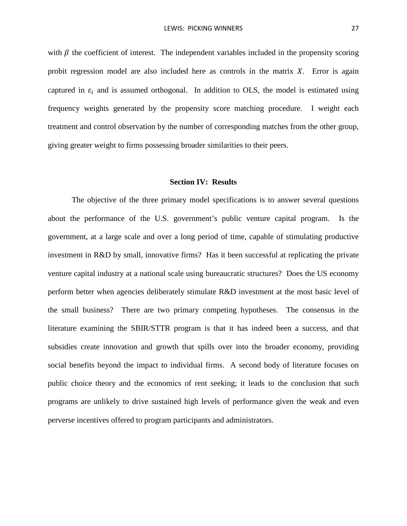with  $\beta$  the coefficient of interest. The independent variables included in the propensity scoring probit regression model are also included here as controls in the matrix  $X$ . Error is again captured in  $\varepsilon_i$  and is assumed orthogonal. In addition to OLS, the model is estimated using frequency weights generated by the propensity score matching procedure. I weight each treatment and control observation by the number of corresponding matches from the other group, giving greater weight to firms possessing broader similarities to their peers.

#### **Section IV: Results**

The objective of the three primary model specifications is to answer several questions about the performance of the U.S. government's public venture capital program. Is the government, at a large scale and over a long period of time, capable of stimulating productive investment in R&D by small, innovative firms? Has it been successful at replicating the private venture capital industry at a national scale using bureaucratic structures? Does the US economy perform better when agencies deliberately stimulate R&D investment at the most basic level of the small business? There are two primary competing hypotheses. The consensus in the literature examining the SBIR/STTR program is that it has indeed been a success, and that subsidies create innovation and growth that spills over into the broader economy, providing social benefits beyond the impact to individual firms. A second body of literature focuses on public choice theory and the economics of rent seeking; it leads to the conclusion that such programs are unlikely to drive sustained high levels of performance given the weak and even perverse incentives offered to program participants and administrators.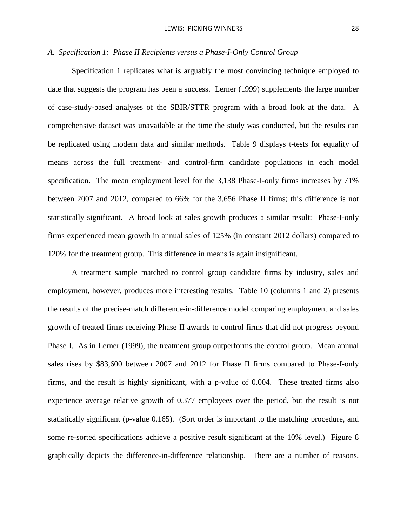### *A. Specification 1: Phase II Recipients versus a Phase-I-Only Control Group*

Specification 1 replicates what is arguably the most convincing technique employed to date that suggests the program has been a success. Lerner (1999) supplements the large number of case-study-based analyses of the SBIR/STTR program with a broad look at the data. A comprehensive dataset was unavailable at the time the study was conducted, but the results can be replicated using modern data and similar methods. [Table 9](#page-44-0) displays t-tests for equality of means across the full treatment- and control-firm candidate populations in each model specification. The mean employment level for the 3,138 Phase-I-only firms increases by 71% between 2007 and 2012, compared to 66% for the 3,656 Phase II firms; this difference is not statistically significant. A broad look at sales growth produces a similar result: Phase-I-only firms experienced mean growth in annual sales of 125% (in constant 2012 dollars) compared to 120% for the treatment group. This difference in means is again insignificant.

A treatment sample matched to control group candidate firms by industry, sales and employment, however, produces more interesting results. Table 10 (columns 1 and 2) presents the results of the precise-match difference-in-difference model comparing employment and sales growth of treated firms receiving Phase II awards to control firms that did not progress beyond Phase I. As in Lerner (1999), the treatment group outperforms the control group. Mean annual sales rises by \$83,600 between 2007 and 2012 for Phase II firms compared to Phase-I-only firms, and the result is highly significant, with a p-value of 0.004. These treated firms also experience average relative growth of 0.377 employees over the period, but the result is not statistically significant (p-value 0.165). (Sort order is important to the matching procedure, and some re-sorted specifications achieve a positive result significant at the 10% level.) Figure 8 graphically depicts the difference-in-difference relationship. There are a number of reasons,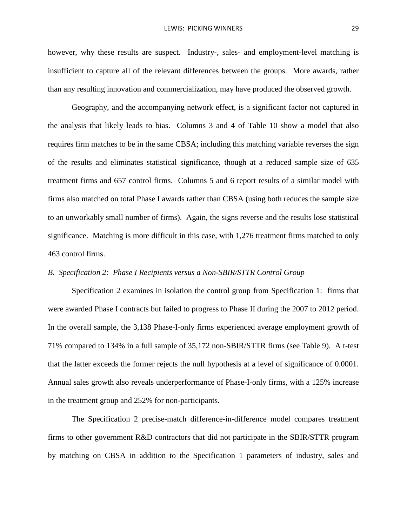however, why these results are suspect. Industry-, sales- and employment-level matching is insufficient to capture all of the relevant differences between the groups. More awards, rather than any resulting innovation and commercialization, may have produced the observed growth.

Geography, and the accompanying network effect, is a significant factor not captured in the analysis that likely leads to bias. Columns 3 and 4 of [Table 10](#page-45-0) show a model that also requires firm matches to be in the same CBSA; including this matching variable reverses the sign of the results and eliminates statistical significance, though at a reduced sample size of 635 treatment firms and 657 control firms. Columns 5 and 6 report results of a similar model with firms also matched on total Phase I awards rather than CBSA (using both reduces the sample size to an unworkably small number of firms). Again, the signs reverse and the results lose statistical significance. Matching is more difficult in this case, with 1,276 treatment firms matched to only 463 control firms.

### *B. Specification 2: Phase I Recipients versus a Non-SBIR/STTR Control Group*

Specification 2 examines in isolation the control group from Specification 1: firms that were awarded Phase I contracts but failed to progress to Phase II during the 2007 to 2012 period. In the overall sample, the 3,138 Phase-I-only firms experienced average employment growth of 71% compared to 134% in a full sample of 35,172 non-SBIR/STTR firms (see [Table 9\)](#page-44-0). A t-test that the latter exceeds the former rejects the null hypothesis at a level of significance of 0.0001. Annual sales growth also reveals underperformance of Phase-I-only firms, with a 125% increase in the treatment group and 252% for non-participants.

The Specification 2 precise-match difference-in-difference model compares treatment firms to other government R&D contractors that did not participate in the SBIR/STTR program by matching on CBSA in addition to the Specification 1 parameters of industry, sales and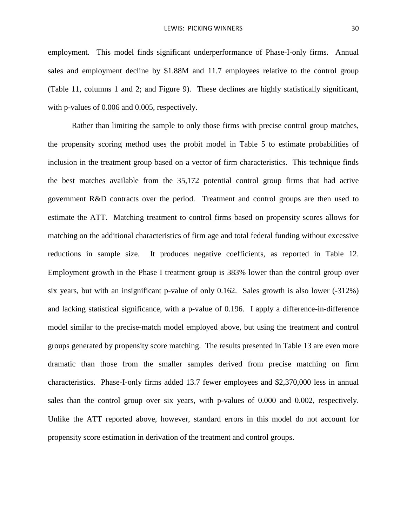employment. This model finds significant underperformance of Phase-I-only firms. Annual sales and employment decline by \$1.88M and 11.7 employees relative to the control group [\(Table 11,](#page-46-0) columns 1 and 2; and Figure 9). These declines are highly statistically significant, with p-values of 0.006 and 0.005, respectively.

Rather than limiting the sample to only those firms with precise control group matches, the propensity scoring method uses the probit model in [Table 5](#page-42-0) to estimate probabilities of inclusion in the treatment group based on a vector of firm characteristics. This technique finds the best matches available from the 35,172 potential control group firms that had active government R&D contracts over the period. Treatment and control groups are then used to estimate the ATT. Matching treatment to control firms based on propensity scores allows for matching on the additional characteristics of firm age and total federal funding without excessive reductions in sample size. It produces negative coefficients, as reported in [Table 12.](#page-48-0) Employment growth in the Phase I treatment group is 383% lower than the control group over six years, but with an insignificant p-value of only 0.162. Sales growth is also lower (-312%) and lacking statistical significance, with a p-value of 0.196. I apply a difference-in-difference model similar to the precise-match model employed above, but using the treatment and control groups generated by propensity score matching. The results presented in Table 13 are even more dramatic than those from the smaller samples derived from precise matching on firm characteristics. Phase-I-only firms added 13.7 fewer employees and \$2,370,000 less in annual sales than the control group over six years, with p-values of 0.000 and 0.002, respectively. Unlike the ATT reported above, however, standard errors in this model do not account for propensity score estimation in derivation of the treatment and control groups.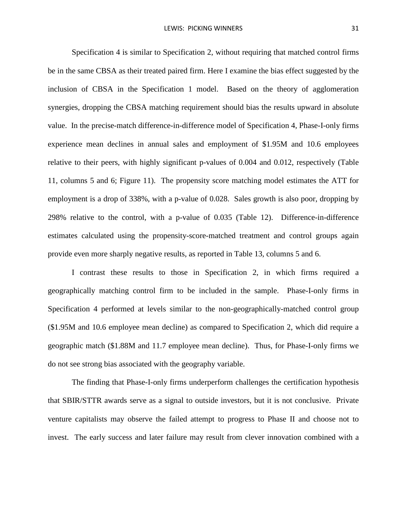Specification 4 is similar to Specification 2, without requiring that matched control firms be in the same CBSA as their treated paired firm. Here I examine the bias effect suggested by the inclusion of CBSA in the Specification 1 model. Based on the theory of agglomeration synergies, dropping the CBSA matching requirement should bias the results upward in absolute value. In the precise-match difference-in-difference model of Specification 4, Phase-I-only firms experience mean declines in annual sales and employment of \$1.95M and 10.6 employees relative to their peers, with highly significant p-values of 0.004 and 0.012, respectively [\(Table](#page-46-0)  [11,](#page-46-0) columns 5 and 6; Figure 11). The propensity score matching model estimates the ATT for employment is a drop of 338%, with a p-value of 0.028. Sales growth is also poor, dropping by 298% relative to the control, with a p-value of 0.035 [\(Table 12\)](#page-48-0). Difference-in-difference estimates calculated using the propensity-score-matched treatment and control groups again provide even more sharply negative results, as reported in [Table 13,](#page-49-0) columns 5 and 6.

I contrast these results to those in Specification 2, in which firms required a geographically matching control firm to be included in the sample. Phase-I-only firms in Specification 4 performed at levels similar to the non-geographically-matched control group (\$1.95M and 10.6 employee mean decline) as compared to Specification 2, which did require a geographic match (\$1.88M and 11.7 employee mean decline). Thus, for Phase-I-only firms we do not see strong bias associated with the geography variable.

The finding that Phase-I-only firms underperform challenges the certification hypothesis that SBIR/STTR awards serve as a signal to outside investors, but it is not conclusive. Private venture capitalists may observe the failed attempt to progress to Phase II and choose not to invest. The early success and later failure may result from clever innovation combined with a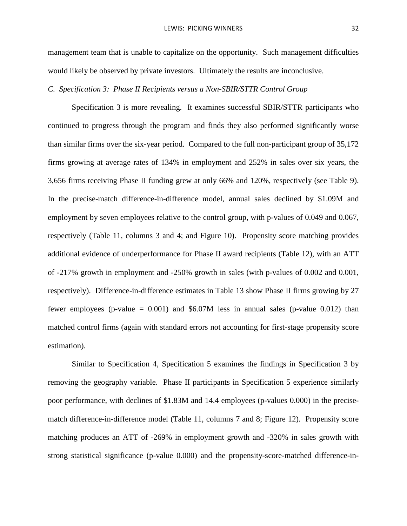management team that is unable to capitalize on the opportunity. Such management difficulties would likely be observed by private investors. Ultimately the results are inconclusive.

### *C. Specification 3: Phase II Recipients versus a Non-SBIR/STTR Control Group*

Specification 3 is more revealing. It examines successful SBIR/STTR participants who continued to progress through the program and finds they also performed significantly worse than similar firms over the six-year period. Compared to the full non-participant group of 35,172 firms growing at average rates of 134% in employment and 252% in sales over six years, the 3,656 firms receiving Phase II funding grew at only 66% and 120%, respectively (see [Table 9\)](#page-44-0). In the precise-match difference-in-difference model, annual sales declined by \$1.09M and employment by seven employees relative to the control group, with p-values of 0.049 and 0.067, respectively [\(Table 11,](#page-46-0) columns 3 and 4; and Figure 10). Propensity score matching provides additional evidence of underperformance for Phase II award recipients [\(Table 12\)](#page-48-0), with an ATT of -217% growth in employment and -250% growth in sales (with p-values of 0.002 and 0.001, respectively). Difference-in-difference estimates in Table 13 show Phase II firms growing by 27 fewer employees (p-value  $= 0.001$ ) and \$6.07M less in annual sales (p-value 0.012) than matched control firms (again with standard errors not accounting for first-stage propensity score estimation).

Similar to Specification 4, Specification 5 examines the findings in Specification 3 by removing the geography variable. Phase II participants in Specification 5 experience similarly poor performance, with declines of \$1.83M and 14.4 employees (p-values 0.000) in the precisematch difference-in-difference model [\(Table 11,](#page-46-0) columns 7 and 8; Figure 12). Propensity score matching produces an ATT of -269% in employment growth and -320% in sales growth with strong statistical significance (p-value 0.000) and the propensity-score-matched difference-in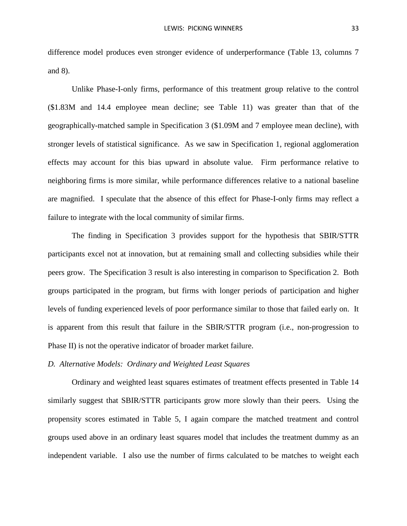difference model produces even stronger evidence of underperformance [\(Table 13,](#page-49-0) columns 7 and 8).

Unlike Phase-I-only firms, performance of this treatment group relative to the control (\$1.83M and 14.4 employee mean decline; see [Table 11\)](#page-46-0) was greater than that of the geographically-matched sample in Specification 3 (\$1.09M and 7 employee mean decline), with stronger levels of statistical significance. As we saw in Specification 1, regional agglomeration effects may account for this bias upward in absolute value. Firm performance relative to neighboring firms is more similar, while performance differences relative to a national baseline are magnified. I speculate that the absence of this effect for Phase-I-only firms may reflect a failure to integrate with the local community of similar firms.

The finding in Specification 3 provides support for the hypothesis that SBIR/STTR participants excel not at innovation, but at remaining small and collecting subsidies while their peers grow. The Specification 3 result is also interesting in comparison to Specification 2. Both groups participated in the program, but firms with longer periods of participation and higher levels of funding experienced levels of poor performance similar to those that failed early on. It is apparent from this result that failure in the SBIR/STTR program (i.e., non-progression to Phase II) is not the operative indicator of broader market failure.

#### *D. Alternative Models: Ordinary and Weighted Least Squares*

Ordinary and weighted least squares estimates of treatment effects presented in [Table 14](#page-52-0) similarly suggest that SBIR/STTR participants grow more slowly than their peers. Using the propensity scores estimated in Table 5, I again compare the matched treatment and control groups used above in an ordinary least squares model that includes the treatment dummy as an independent variable. I also use the number of firms calculated to be matches to weight each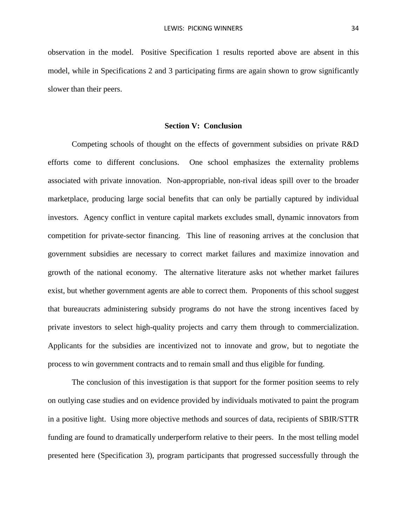observation in the model. Positive Specification 1 results reported above are absent in this model, while in Specifications 2 and 3 participating firms are again shown to grow significantly slower than their peers.

### **Section V: Conclusion**

Competing schools of thought on the effects of government subsidies on private R&D efforts come to different conclusions. One school emphasizes the externality problems associated with private innovation. Non-appropriable, non-rival ideas spill over to the broader marketplace, producing large social benefits that can only be partially captured by individual investors. Agency conflict in venture capital markets excludes small, dynamic innovators from competition for private-sector financing. This line of reasoning arrives at the conclusion that government subsidies are necessary to correct market failures and maximize innovation and growth of the national economy. The alternative literature asks not whether market failures exist, but whether government agents are able to correct them. Proponents of this school suggest that bureaucrats administering subsidy programs do not have the strong incentives faced by private investors to select high-quality projects and carry them through to commercialization. Applicants for the subsidies are incentivized not to innovate and grow, but to negotiate the process to win government contracts and to remain small and thus eligible for funding.

The conclusion of this investigation is that support for the former position seems to rely on outlying case studies and on evidence provided by individuals motivated to paint the program in a positive light. Using more objective methods and sources of data, recipients of SBIR/STTR funding are found to dramatically underperform relative to their peers. In the most telling model presented here (Specification 3), program participants that progressed successfully through the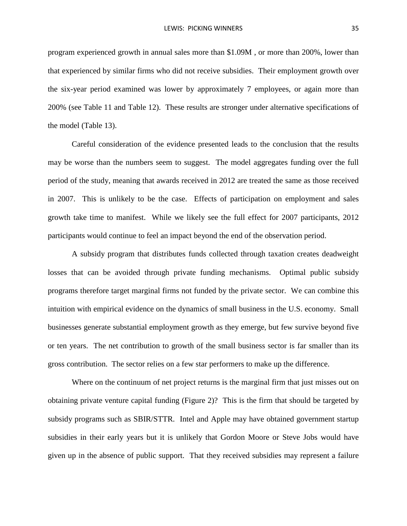program experienced growth in annual sales more than \$1.09M , or more than 200%, lower than that experienced by similar firms who did not receive subsidies. Their employment growth over the six-year period examined was lower by approximately 7 employees, or again more than 200% (see [Table 11](#page-46-0) and [Table 12\)](#page-48-0). These results are stronger under alternative specifications of the model [\(Table 13\)](#page-49-0).

Careful consideration of the evidence presented leads to the conclusion that the results may be worse than the numbers seem to suggest. The model aggregates funding over the full period of the study, meaning that awards received in 2012 are treated the same as those received in 2007. This is unlikely to be the case. Effects of participation on employment and sales growth take time to manifest. While we likely see the full effect for 2007 participants, 2012 participants would continue to feel an impact beyond the end of the observation period.

A subsidy program that distributes funds collected through taxation creates deadweight losses that can be avoided through private funding mechanisms. Optimal public subsidy programs therefore target marginal firms not funded by the private sector. We can combine this intuition with empirical evidence on the dynamics of small business in the U.S. economy. Small businesses generate substantial employment growth as they emerge, but few survive beyond five or ten years. The net contribution to growth of the small business sector is far smaller than its gross contribution. The sector relies on a few star performers to make up the difference.

Where on the continuum of net project returns is the marginal firm that just misses out on obtaining private venture capital funding [\(Figure 2\)](#page-37-0)? This is the firm that should be targeted by subsidy programs such as SBIR/STTR. Intel and Apple may have obtained government startup subsidies in their early years but it is unlikely that Gordon Moore or Steve Jobs would have given up in the absence of public support. That they received subsidies may represent a failure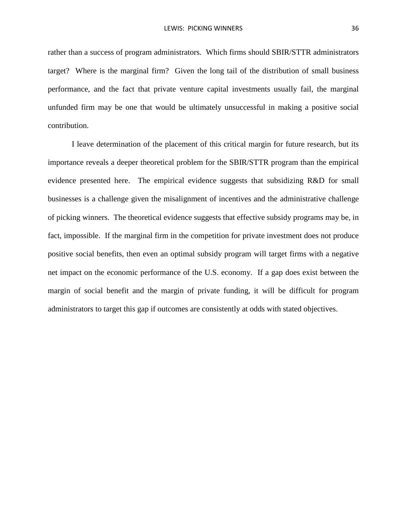rather than a success of program administrators. Which firms should SBIR/STTR administrators target? Where is the marginal firm? Given the long tail of the distribution of small business performance, and the fact that private venture capital investments usually fail, the marginal unfunded firm may be one that would be ultimately unsuccessful in making a positive social contribution.

I leave determination of the placement of this critical margin for future research, but its importance reveals a deeper theoretical problem for the SBIR/STTR program than the empirical evidence presented here. The empirical evidence suggests that subsidizing R&D for small businesses is a challenge given the misalignment of incentives and the administrative challenge of picking winners. The theoretical evidence suggests that effective subsidy programs may be, in fact, impossible. If the marginal firm in the competition for private investment does not produce positive social benefits, then even an optimal subsidy program will target firms with a negative net impact on the economic performance of the U.S. economy. If a gap does exist between the margin of social benefit and the margin of private funding, it will be difficult for program administrators to target this gap if outcomes are consistently at odds with stated objectives.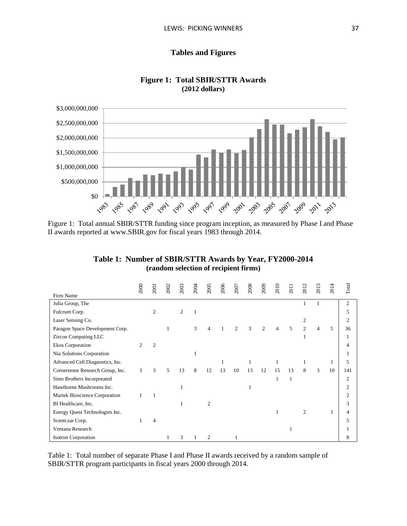## **Tables and Figures**



#### **Figure 1: Total SBIR/STTR Awards (2012 dollars)**

Figure 1: Total annual SBIR/STTR funding since program inception, as measured by Phase I and Phase II awards reported at www.SBIR.gov for fiscal years 1983 through 2014.

| Table 1: Number of SBIR/STTR Awards by Year, FY2000-2014 |
|----------------------------------------------------------|
| (random selection of recipient firms)                    |

|                                  | 2000           | 2001           | 2002 | 2003 | 2004 | 2005           | 2006 | 2007           | 2008          | 2009           | 2010 | 2011                     | 201            | $\overline{201}$ | 2014 | Total          |
|----------------------------------|----------------|----------------|------|------|------|----------------|------|----------------|---------------|----------------|------|--------------------------|----------------|------------------|------|----------------|
| Firm Name                        |                |                |      |      |      |                |      |                |               |                |      |                          |                |                  |      |                |
| Julia Group, The                 |                |                |      |      |      |                |      |                |               |                |      |                          |                |                  |      | $\overline{2}$ |
| Fulcrum Corp.                    |                | $\overline{c}$ |      | 2    |      |                |      |                |               |                |      |                          |                |                  |      | 5              |
| Laser Sensing Co.                |                |                |      |      |      |                |      |                |               |                |      |                          | 2              |                  |      | $\overline{c}$ |
| Paragon Space Development Corp.  |                |                |      |      | 3    | 4              |      | $\overline{c}$ | $\mathcal{R}$ | $\mathfrak{2}$ | 4    | $\overline{\phantom{0}}$ | $\overline{2}$ | 4                | 5    | 36             |
| Zircon Computing LLC             |                |                |      |      |      |                |      |                |               |                |      |                          |                |                  |      |                |
| Ekos Corporation                 | $\overline{c}$ | $\mathfrak{D}$ |      |      |      |                |      |                |               |                |      |                          |                |                  |      |                |
| Nia Solutions Corporation        |                |                |      |      |      |                |      |                |               |                |      |                          |                |                  |      |                |
| Advanced Cell Diagnostics, Inc.  |                |                |      |      |      |                | 1    |                |               |                | 1    |                          | 1              |                  | 1    | 5              |
| Cornerstone Research Group, Inc. | 3              | 3              | 5    | 13   | 8    | 12             | 13   | 10             | 13            | 12             | 15   | 13                       | 8              | 3                | 10   | 141            |
| Sims Brothers Incorporated       |                |                |      |      |      |                |      |                |               |                |      |                          |                |                  |      | $\overline{c}$ |
| Hawthorne Mushrooms Inc.         |                |                |      |      |      |                |      |                |               |                |      |                          |                |                  |      | $\overline{c}$ |
| Martek Bioscience Corporation    |                |                |      |      |      |                |      |                |               |                |      |                          |                |                  |      | $\mathfrak{D}$ |
| Bl Healthcare, Inc.              |                |                |      |      |      | $\mathfrak{D}$ |      |                |               |                |      |                          |                |                  |      | 3              |
| Energy Quest Technologies Inc.   |                |                |      |      |      |                |      |                |               |                |      |                          | $\mathfrak{D}$ |                  |      |                |
| Scentczar Corp.                  |                | 4              |      |      |      |                |      |                |               |                |      |                          |                |                  |      | 5              |
| Ventana Research                 |                |                |      |      |      |                |      |                |               |                |      |                          |                |                  |      |                |
| <b>Isotron Corporation</b>       |                |                |      | 3    |      | 2              |      |                |               |                |      |                          |                |                  |      | 8              |

Table 1: Total number of separate Phase I and Phase II awards received by a random sample of SBIR/STTR program participants in fiscal years 2000 through 2014.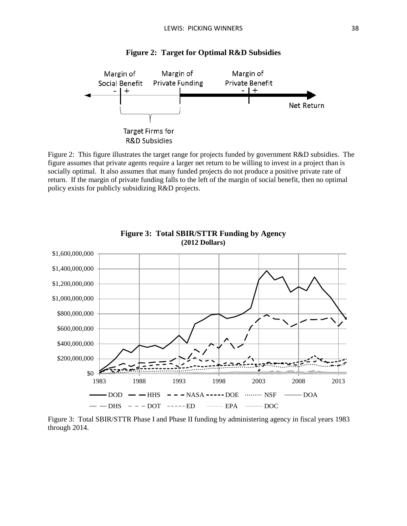<span id="page-37-0"></span>

**Figure 2: Target for Optimal R&D Subsidies**

Figure 2: This figure illustrates the target range for projects funded by government R&D subsidies. The figure assumes that private agents require a larger net return to be willing to invest in a project than is socially optimal. It also assumes that many funded projects do not produce a positive private rate of return. If the margin of private funding falls to the left of the margin of social benefit, then no optimal policy exists for publicly subsidizing R&D projects.



**Figure 3: Total SBIR/STTR Funding by Agency (2012 Dollars)**

Figure 3: Total SBIR/STTR Phase I and Phase II funding by administering agency in fiscal years 1983 through 2014.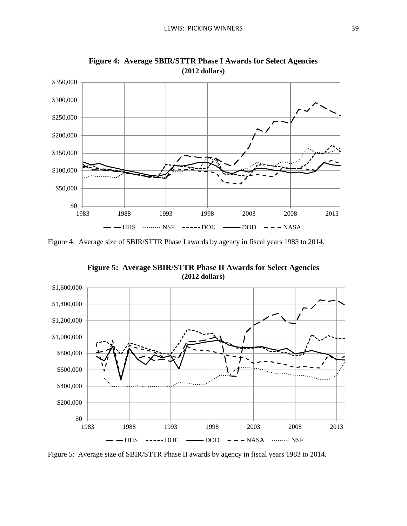

**Figure 4: Average SBIR/STTR Phase I Awards for Select Agencies (2012 dollars)**

Figure 4: Average size of SBIR/STTR Phase I awards by agency in fiscal years 1983 to 2014.

**Figure 5: Average SBIR/STTR Phase II Awards for Select Agencies (2012 dollars)**



Figure 5: Average size of SBIR/STTR Phase II awards by agency in fiscal years 1983 to 2014.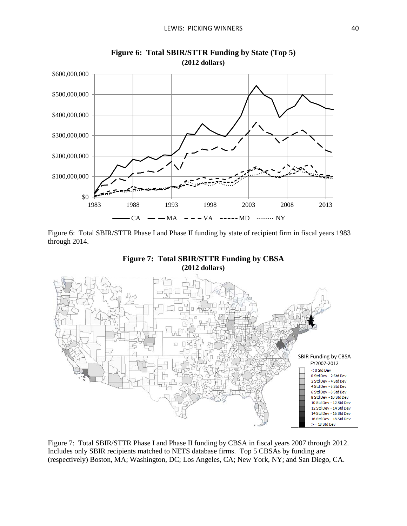

**Figure 6: Total SBIR/STTR Funding by State (Top 5) (2012 dollars)**

Figure 6: Total SBIR/STTR Phase I and Phase II funding by state of recipient firm in fiscal years 1983 through 2014.



**Figure 7: Total SBIR/STTR Funding by CBSA (2012 dollars)**

Figure 7: Total SBIR/STTR Phase I and Phase II funding by CBSA in fiscal years 2007 through 2012. Includes only SBIR recipients matched to NETS database firms. Top 5 CBSAs by funding are (respectively) Boston, MA; Washington, DC; Los Angeles, CA; New York, NY; and San Diego, CA.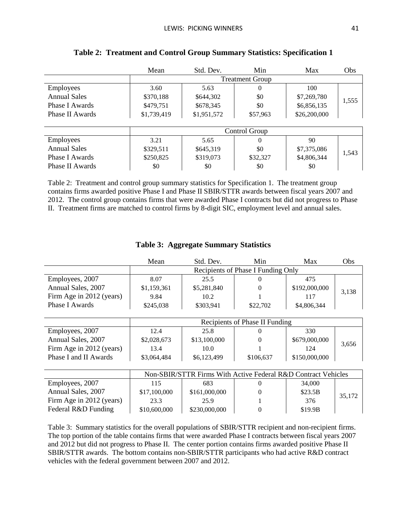|                     | Mean        | Std. Dev.   | Min                    | Max          | Obs   |
|---------------------|-------------|-------------|------------------------|--------------|-------|
|                     |             |             | <b>Treatment Group</b> |              |       |
| <b>Employees</b>    | 3.60        | 5.63        | $\theta$               | 100          |       |
| <b>Annual Sales</b> | \$370,188   | \$644,302   | \$0                    | \$7,269,780  | 1,555 |
| Phase I Awards      | \$479,751   | \$678,345   | \$0                    | \$6,856,135  |       |
| Phase II Awards     | \$1,739,419 | \$1,951,572 | \$57,963               | \$26,200,000 |       |
|                     |             |             |                        |              |       |
|                     |             |             | Control Group          |              |       |
| <b>Employees</b>    | 3.21        | 5.65        | $\Omega$               | 90           |       |
| <b>Annual Sales</b> | \$329,511   | \$645,319   | \$0                    | \$7,375,086  | 1,543 |
| Phase I Awards      | \$250,825   | \$319,073   | \$32,327               | \$4,806,344  |       |
| Phase II Awards     | \$0         | \$0         | \$0                    | \$0          |       |

## **Table 2: Treatment and Control Group Summary Statistics: Specification 1**

Table 2: Treatment and control group summary statistics for Specification 1. The treatment group contains firms awarded positive Phase I and Phase II SBIR/STTR awards between fiscal years 2007 and 2012. The control group contains firms that were awarded Phase I contracts but did not progress to Phase II. Treatment firms are matched to control firms by 8-digit SIC, employment level and annual sales.

<span id="page-40-0"></span>

|                          | Std. Dev.<br>Mean |                                    | Min      | Max           | Obs   |  |
|--------------------------|-------------------|------------------------------------|----------|---------------|-------|--|
|                          |                   | Recipients of Phase I Funding Only |          |               |       |  |
| Employees, 2007          | 8.07              | 25.5                               |          | 475           |       |  |
| Annual Sales, 2007       | \$1,159,361       | \$5,281,840                        |          | \$192,000,000 | 3,138 |  |
| Firm Age in 2012 (years) | 9.84              | 10.2                               |          | 117           |       |  |
| Phase I Awards           | \$245,038         | \$303,941                          | \$22,702 | \$4,806,344   |       |  |

## **Table 3: Aggregate Summary Statistics**

|                          |             | Recipients of Phase II Funding |           |               |       |  |  |  |
|--------------------------|-------------|--------------------------------|-----------|---------------|-------|--|--|--|
| Employees, 2007          | 12.4        | 25.8                           |           | 330           |       |  |  |  |
| Annual Sales, 2007       | \$2,028,673 | \$13,100,000                   |           | \$679,000,000 | 3,656 |  |  |  |
| Firm Age in 2012 (years) | 13.4        | 10.0                           |           | 124           |       |  |  |  |
| Phase I and II Awards    | \$3,064,484 | \$6,123,499                    | \$106,637 | \$150,000,000 |       |  |  |  |

|                          |              | Non-SBIR/STTR Firms With Active Federal R&D Contract Vehicles |  |         |        |  |  |  |  |
|--------------------------|--------------|---------------------------------------------------------------|--|---------|--------|--|--|--|--|
| Employees, 2007          | 115          | 683                                                           |  | 34,000  |        |  |  |  |  |
| Annual Sales, 2007       | \$17,100,000 | \$161,000,000                                                 |  | \$23.5B | 35,172 |  |  |  |  |
| Firm Age in 2012 (years) | 23.3         | 25.9                                                          |  | 376     |        |  |  |  |  |
| Federal R&D Funding      | \$10,600,000 | \$230,000,000                                                 |  | \$19.9B |        |  |  |  |  |

[Table 3:](#page-40-0) Summary statistics for the overall populations of SBIR/STTR recipient and non-recipient firms. The top portion of the table contains firms that were awarded Phase I contracts between fiscal years 2007 and 2012 but did not progress to Phase II. The center portion contains firms awarded positive Phase II SBIR/STTR awards. The bottom contains non-SBIR/STTR participants who had active R&D contract vehicles with the federal government between 2007 and 2012.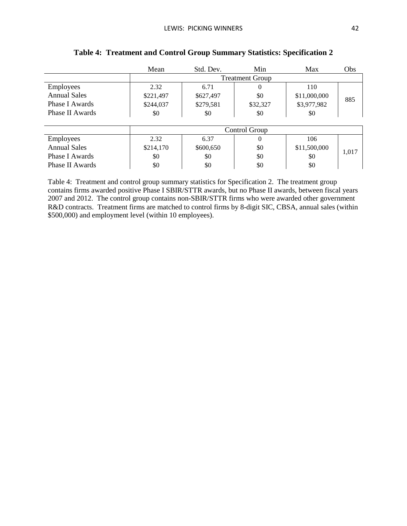|                     | Mean      | Std. Dev.              | Min           | Max          | Obs   |  |  |
|---------------------|-----------|------------------------|---------------|--------------|-------|--|--|
|                     |           | <b>Treatment Group</b> |               |              |       |  |  |
| <b>Employees</b>    | 2.32      | 6.71                   | $\Omega$      | 110          |       |  |  |
| <b>Annual Sales</b> | \$221,497 | \$627,497              | \$0           | \$11,000,000 | 885   |  |  |
| Phase I Awards      | \$244,037 | \$279,581              | \$32,327      | \$3,977,982  |       |  |  |
| Phase II Awards     | \$0       | \$0                    | \$0           | \$0          |       |  |  |
|                     |           |                        |               |              |       |  |  |
|                     |           |                        | Control Group |              |       |  |  |
| <b>Employees</b>    | 2.32      | 6.37                   | $\Omega$      | 106          |       |  |  |
| <b>Annual Sales</b> | \$214,170 | \$600,650              | \$0           | \$11,500,000 | 1,017 |  |  |
| Phase I Awards      | \$0       | \$0                    | \$0           | \$0          |       |  |  |
| Phase II Awards     | \$0       | \$0                    | \$0           | \$0          |       |  |  |

### **Table 4: Treatment and Control Group Summary Statistics: Specification 2**

Table 4: Treatment and control group summary statistics for Specification 2. The treatment group contains firms awarded positive Phase I SBIR/STTR awards, but no Phase II awards, between fiscal years 2007 and 2012. The control group contains non-SBIR/STTR firms who were awarded other government R&D contracts. Treatment firms are matched to control firms by 8-digit SIC, CBSA, annual sales (within \$500,000) and employment level (within 10 employees).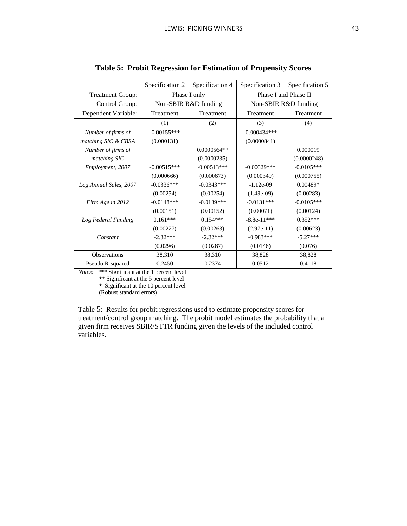<span id="page-42-0"></span>

|                                                                                           | Specification 2 | Specification 4                | Specification 3 | Specification 5      |  |  |
|-------------------------------------------------------------------------------------------|-----------------|--------------------------------|-----------------|----------------------|--|--|
| <b>Treatment Group:</b>                                                                   | Phase I only    |                                |                 | Phase I and Phase II |  |  |
| Control Group:                                                                            |                 | Non-SBIR R&D funding           |                 | Non-SBIR R&D funding |  |  |
| Dependent Variable:                                                                       | Treatment       | Treatment                      | Treatment       | Treatment            |  |  |
|                                                                                           | (1)             | (2)                            | (3)             | (4)                  |  |  |
| Number of firms of                                                                        | $-0.00155***$   | $-0.000434***$                 |                 |                      |  |  |
| matching SIC & CBSA                                                                       | (0.000131)      |                                | (0.0000841)     |                      |  |  |
| Number of firms of                                                                        |                 | $0.0000564**$                  |                 | 0.000019             |  |  |
| matching SIC                                                                              |                 | (0.0000235)                    |                 | (0.0000248)          |  |  |
| Employment, 2007                                                                          | $-0.00515***$   | $-0.00513***$<br>$-0.00329***$ |                 | $-0.0105***$         |  |  |
|                                                                                           | (0.000666)      | (0.000673)                     | (0.000349)      | (0.000755)           |  |  |
| Log Annual Sales, 2007                                                                    | $-0.0336***$    | $-0.0343***$                   | $-1.12e-09$     | $0.00489*$           |  |  |
|                                                                                           | (0.00254)       | (0.00254)                      | $(1.49e-09)$    | (0.00283)            |  |  |
| Firm Age in 2012                                                                          | $-0.0148***$    | $-0.0139***$                   | $-0.0131***$    | $-0.0105***$         |  |  |
|                                                                                           | (0.00151)       | (0.00152)                      | (0.00071)       | (0.00124)            |  |  |
| Log Federal Funding                                                                       | $0.161***$      | $0.154***$                     | $-8.8e-11***$   | $0.352***$           |  |  |
|                                                                                           | (0.00277)       | (0.00263)                      | $(2.97e-11)$    | (0.00623)            |  |  |
| Constant                                                                                  | $-2.32***$      | $-2.32***$                     | $-0.983***$     | $-5.27***$           |  |  |
|                                                                                           | (0.0296)        | (0.0287)                       | (0.0146)        | (0.076)              |  |  |
| <b>Observations</b>                                                                       | 38,310          | 38,310                         | 38,828          | 38,828               |  |  |
| Pseudo R-squared                                                                          | 0.2450          | 0.2374                         | 0.0512          | 0.4118               |  |  |
| *** Significant at the 1 percent level<br>Notes:<br>** Significant at the 5 nercent level |                 |                                |                 |                      |  |  |

## <span id="page-42-1"></span>**Table 5: Probit Regression for Estimation of Propensity Scores**

\*\* Significant at the 5 percent level

\* Significant at the 10 percent level

(Robust standard errors)

Table 5: Results for probit regressions used to estimate propensity scores for treatment/control group matching. The probit model estimates the probability that a given firm receives SBIR/STTR funding given the levels of the included control variables.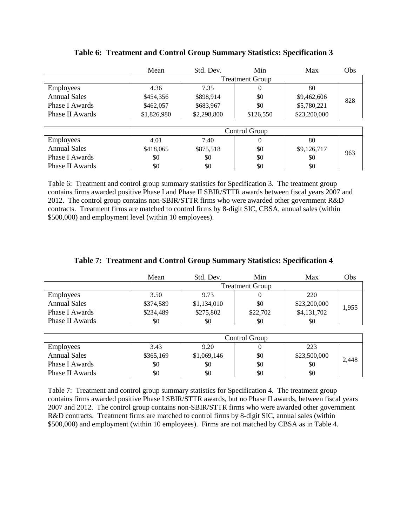|                     | Mean        | Std. Dev.              | Min           | Max          | Obs |
|---------------------|-------------|------------------------|---------------|--------------|-----|
|                     |             | <b>Treatment Group</b> |               |              |     |
| <b>Employees</b>    | 4.36        | 7.35                   | $\theta$      | 80           |     |
| Annual Sales        | \$454,356   | \$898,914              | \$0           | \$9,462,606  | 828 |
| Phase I Awards      | \$462,057   | \$683,967              | \$0           | \$5,780,221  |     |
| Phase II Awards     | \$1,826,980 | \$2,298,800            | \$126,550     | \$23,200,000 |     |
|                     |             |                        |               |              |     |
|                     |             |                        | Control Group |              |     |
| <b>Employees</b>    | 4.01        | 7.40                   | $\theta$      | 80           |     |
| <b>Annual Sales</b> | \$418,065   | \$875,518              | \$0           | \$9,126,717  | 963 |
| Phase I Awards      | \$0         | \$0                    | \$0           | \$0          |     |
| Phase II Awards     | \$0         | \$0                    | \$0           | \$0          |     |

## **Table 6: Treatment and Control Group Summary Statistics: Specification 3**

Table 6: Treatment and control group summary statistics for Specification 3. The treatment group contains firms awarded positive Phase I and Phase II SBIR/STTR awards between fiscal years 2007 and 2012. The control group contains non-SBIR/STTR firms who were awarded other government R&D contracts. Treatment firms are matched to control firms by 8-digit SIC, CBSA, annual sales (within \$500,000) and employment level (within 10 employees).

|                     | Mean      | Std. Dev.              | Min           | Max          | Obs   |  |
|---------------------|-----------|------------------------|---------------|--------------|-------|--|
|                     |           | <b>Treatment Group</b> |               |              |       |  |
| <b>Employees</b>    | 3.50      | 9.73                   | $\Omega$      | 220          |       |  |
| <b>Annual Sales</b> | \$374,589 | \$1,134,010            | \$0           | \$23,200,000 |       |  |
| Phase I Awards      | \$234,489 | \$275,802              | \$22,702      | \$4,131,702  | 1,955 |  |
| Phase II Awards     | \$0       | \$0                    | \$0           | \$0          |       |  |
|                     |           |                        |               |              |       |  |
|                     |           |                        | Control Group |              |       |  |
| <b>Employees</b>    | 3.43      | 9.20                   | $\mathbf{0}$  | 223          |       |  |
| Annual Sales        | \$365,169 | \$1,069,146            | \$0           | \$23,500,000 | 2,448 |  |
| Phase I Awards      | \$0       | \$0                    | \$0           | \$0          |       |  |
| Phase II Awards     | \$0       | \$0                    | \$0           | \$0          |       |  |

### **Table 7: Treatment and Control Group Summary Statistics: Specification 4**

Table 7: Treatment and control group summary statistics for Specification 4. The treatment group contains firms awarded positive Phase I SBIR/STTR awards, but no Phase II awards, between fiscal years 2007 and 2012. The control group contains non-SBIR/STTR firms who were awarded other government R&D contracts. Treatment firms are matched to control firms by 8-digit SIC, annual sales (within \$500,000) and employment (within 10 employees). Firms are not matched by CBSA as in Table 4.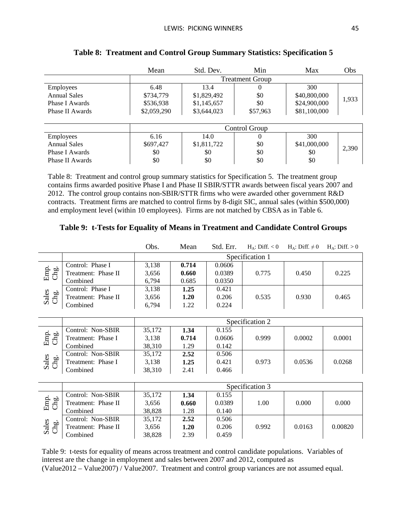|                     | Mean        | Std. Dev.   | Min                    | Max          | Obs   |
|---------------------|-------------|-------------|------------------------|--------------|-------|
|                     |             |             | <b>Treatment Group</b> |              |       |
| <b>Employees</b>    | 6.48        | 13.4        | $\theta$               | 300          |       |
| <b>Annual Sales</b> | \$734,779   | \$1,829,492 | \$0                    | \$40,800,000 |       |
| Phase I Awards      | \$536,938   | \$1,145,657 | \$0                    | \$24,900,000 | 1,933 |
| Phase II Awards     | \$2,059,290 | \$3,644,023 | \$57,963               | \$81,100,000 |       |
|                     |             |             |                        |              |       |
|                     |             |             | Control Group          |              |       |
| Employees           | 6.16        | 14.0        | $\theta$               | 300          |       |
| Annual Sales        | \$697,427   | \$1,811,722 | \$0                    | \$41,000,000 |       |
| Phase I Awards      | \$0         | \$0         | \$0                    | \$0          | 2,390 |
| Phase II Awards     | \$0         | \$0         | \$0                    | \$0          |       |

## **Table 8: Treatment and Control Group Summary Statistics: Specification 5**

Table 8: Treatment and control group summary statistics for Specification 5. The treatment group contains firms awarded positive Phase I and Phase II SBIR/STTR awards between fiscal years 2007 and 2012. The control group contains non-SBIR/STTR firms who were awarded other government R&D contracts. Treatment firms are matched to control firms by 8-digit SIC, annual sales (within \$500,000) and employment level (within 10 employees). Firms are not matched by CBSA as in Table 6.

### <span id="page-44-0"></span>**Table 9: t-Tests for Equality of Means in Treatment and Candidate Control Groups**

|               |                     | Obs.  | Mean  | Std. Err. | $H_{\Delta}$ : Diff. < 0 | $H_A$ : Diff. $\neq 0$ | $H_A$ : Diff. > 0 |
|---------------|---------------------|-------|-------|-----------|--------------------------|------------------------|-------------------|
|               |                     |       |       |           | Specification 1          |                        |                   |
|               | Control: Phase I    | 3,138 | 0.714 | 0.0606    |                          |                        |                   |
| Emp.<br>Chg.  | Treatment: Phase II | 3,656 | 0.660 | 0.0389    | 0.775                    | 0.450                  | 0.225             |
|               | Combined            | 6.794 | 0.685 | 0.0350    |                          |                        |                   |
|               | Control: Phase I    | 3,138 | 1.25  | 0.421     |                          |                        |                   |
| Sales<br>Chg. | Treatment: Phase II | 3,656 | 1.20  | 0.206     | 0.535                    | 0.930                  | 0.465             |
|               | Combined            | 6.794 | 1.22  | 0.224     |                          |                        |                   |
|               |                     |       |       |           |                          |                        |                   |
|               |                     |       |       |           | Specification 2          |                        |                   |

|                                         |                    |        | Specification 2 |        |       |        |        |  |  |  |
|-----------------------------------------|--------------------|--------|-----------------|--------|-------|--------|--------|--|--|--|
|                                         | Control: Non-SBIR  | 35.172 | 1.34            | 0.155  |       |        |        |  |  |  |
| Emp <sub>o</sub><br>वै                  | Treatment: Phase I | 3.138  | 0.714           | 0.0606 | 0.999 | 0.0002 | 0.0001 |  |  |  |
|                                         | Combined           | 38.310 | 1.29            | 0.142  |       |        |        |  |  |  |
| Sales<br>Che<br>$\overline{\mathbf{g}}$ | Control: Non-SBIR  | 35,172 | 2.52            | 0.506  |       |        |        |  |  |  |
|                                         | Treatment: Phase I | 3.138  | 1.25            | 0.421  | 0.973 | 0.0536 | 0.0268 |  |  |  |
|                                         | Combined           | 38,310 | 2.41            | 0.466  |       |        |        |  |  |  |

|               |                     |        | Specification 3 |        |       |        |         |  |  |  |  |
|---------------|---------------------|--------|-----------------|--------|-------|--------|---------|--|--|--|--|
| Emp<br>Chg.   | Control: Non-SBIR   | 35,172 | 1.34            | 0.155  |       |        |         |  |  |  |  |
|               | Treatment: Phase II | 3,656  | 0.660           | 0.0389 | 1.00  | 0.000  | 0.000   |  |  |  |  |
|               | Combined            | 38.828 | 1.28            | 0.140  |       |        |         |  |  |  |  |
|               | Control: Non-SBIR   | 35,172 | 2.52            | 0.506  |       |        |         |  |  |  |  |
| Sales<br>Chg. | Treatment: Phase II | 3,656  | 1.20            | 0.206  | 0.992 | 0.0163 | 0.00820 |  |  |  |  |
|               | Combined            | 38,828 | 2.39            | 0.459  |       |        |         |  |  |  |  |

[Table 9:](#page-44-0) t-tests for equality of means across treatment and control candidate populations. Variables of interest are the change in employment and sales between 2007 and 2012, computed as (Value2012 – Value2007) / Value2007. Treatment and control group variances are not assumed equal.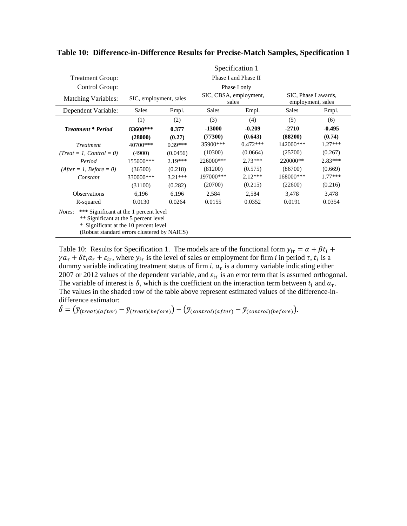|                                                                                           | Specification 1        |           |                                 |            |                                           |           |  |  |  |  |
|-------------------------------------------------------------------------------------------|------------------------|-----------|---------------------------------|------------|-------------------------------------------|-----------|--|--|--|--|
| <b>Treatment Group:</b>                                                                   | Phase I and Phase II   |           |                                 |            |                                           |           |  |  |  |  |
| Control Group:                                                                            | Phase I only           |           |                                 |            |                                           |           |  |  |  |  |
| <b>Matching Variables:</b>                                                                | SIC, employment, sales |           | SIC, CBSA, employment,<br>sales |            | SIC, Phase I awards,<br>employment, sales |           |  |  |  |  |
| Dependent Variable:                                                                       | Sales                  | Empl.     | <b>Sales</b>                    | Empl.      | <b>Sales</b>                              | Empl.     |  |  |  |  |
|                                                                                           | (1)                    | (2)       | (3)                             | (4)        | (5)                                       | (6)       |  |  |  |  |
| <b>Treatment * Period</b>                                                                 | 83600***               | 0.377     | $-13000$                        | $-0.209$   | $-2710$                                   | $-0.495$  |  |  |  |  |
|                                                                                           | (28000)                | (0.27)    | (77300)                         | (0.643)    | (88200)                                   | (0.74)    |  |  |  |  |
| <b>Treatment</b>                                                                          | 40700***               | $0.39***$ | 35900***                        | $0.472***$ | 142000***                                 | $1.27***$ |  |  |  |  |
| $(Treat = 1, Control = 0)$                                                                | (4900)                 | (0.0456)  | (10300)                         | (0.0664)   | (25700)                                   | (0.267)   |  |  |  |  |
| Period                                                                                    | 155000***              | $2.19***$ | 226000***                       | $2.73***$  | 220000**                                  | $2.83***$ |  |  |  |  |
| $(After = 1, Before = 0)$                                                                 | (36500)                | (0.218)   | (81200)                         | (0.575)    | (86700)                                   | (0.669)   |  |  |  |  |
| Constant                                                                                  | 330000***              | $3.21***$ | 197000***                       | $2.12***$  | 168000***                                 | $1.77***$ |  |  |  |  |
|                                                                                           | (31100)                | (0.282)   | (20700)                         | (0.215)    | (22600)                                   | (0.216)   |  |  |  |  |
| <b>Observations</b>                                                                       | 6,196                  | 6,196     | 2,584                           | 2,584      | 3,478                                     | 3,478     |  |  |  |  |
| R-squared                                                                                 | 0.0130                 | 0.0264    | 0.0155                          | 0.0352     | 0.0191                                    | 0.0354    |  |  |  |  |
| *** Significant at the 1 percent level<br>Notes:<br>** Significant at the 5 percent level |                        |           |                                 |            |                                           |           |  |  |  |  |

<span id="page-45-0"></span>**Table 10: Difference-in-Difference Results for Precise-Match Samples, Specification 1**

\* Significant at the 10 percent level

(Robust standard errors clustered by NAICS)

Table 10: Results for Specification 1. The models are of the functional form  $y_{i\tau} = \alpha + \beta t_i +$  $\gamma a_{\tau} + \delta t_i a_{\tau} + \varepsilon_{i\tau}$ , where  $y_{i\tau}$  is the level of sales or employment for firm *i* in period  $\tau$ ,  $t_i$  is a dummy variable indicating treatment status of firm *i*,  $a_{\tau}$  is a dummy variable indicating either 2007 or 2012 values of the dependent variable, and  $\varepsilon_{i\tau}$  is an error term that is assumed orthogonal. The variable of interest is  $\delta$ , which is the coefficient on the interaction term between  $t_i$  and  $a_{\tau}$ . The values in the shaded row of the table above represent estimated values of the difference-indifference estimator:

 $\hat{\delta} = (\bar{y}_{(treat)(after)} - \bar{y}_{(treat)(before)}) - (\bar{y}_{(control)(after)} - \bar{y}_{(control)(before)})$ .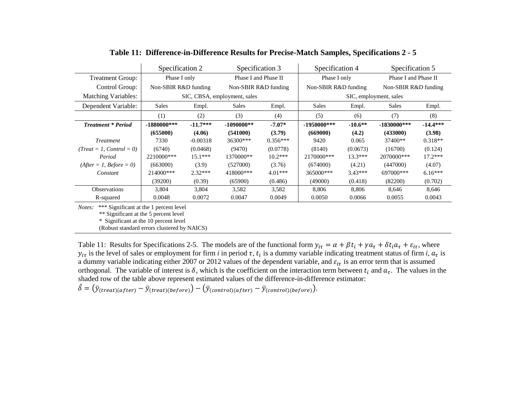|                                                  | Specification 2<br>Specification 3    |                   | Specification 4              |                      | Specification 5 |                      |                        |                      |  |
|--------------------------------------------------|---------------------------------------|-------------------|------------------------------|----------------------|-----------------|----------------------|------------------------|----------------------|--|
| <b>Treatment Group:</b>                          | Phase I only                          |                   |                              | Phase I and Phase II |                 | Phase I only         |                        | Phase I and Phase II |  |
| Control Group:                                   | Non-SBIR R&D funding                  |                   | Non-SBIR R&D funding         |                      |                 | Non-SBIR R&D funding |                        | Non-SBIR R&D funding |  |
| <b>Matching Variables:</b>                       |                                       |                   | SIC, CBSA, employment, sales |                      |                 |                      | SIC, employment, sales |                      |  |
| Dependent Variable:                              | <b>Sales</b><br><b>Sales</b><br>Empl. |                   | Empl.                        | <b>Sales</b>         | Empl.           | <b>Sales</b>         | Empl.                  |                      |  |
|                                                  | (1)                                   | (2)<br>(3)<br>(4) |                              |                      | (5)             | (6)                  | (7)                    | (8)                  |  |
| <b>Treatment * Period</b>                        | $-1880000$ ***                        | $-11.7***$        | $-1090000**$                 | $-7.07*$             | $-1950000$ ***  | $-10.6**$            | $-1830000$ ***         | $-14.4***$           |  |
|                                                  | (655000)                              | (4.06)            | (541000)                     | (3.79)               | (669000)        | (4.2)                | (433000)               | (3.98)               |  |
| <b>Treatment</b>                                 | 7330                                  | $-0.00318$        | 36300***                     | $0.356***$           | 9420            | 0.065                | 37400**                | $0.318**$            |  |
| $(Treat = 1, Control = 0)$                       | (6740)                                | (0.0468)          | (9470)                       | (0.0778)             | (8140)          | (0.0673)             | (16700)                | (0.124)              |  |
| Period                                           | 2210000***                            | $15.1***$         | 1370000**                    | $10.2***$            | 2170000***      | $13.3***$            | 2070000***             | $17.2***$            |  |
| $(After = 1, Before = 0)$                        | (663000)                              | (3.9)             | (527000)                     | (3.76)               | (674000)        | (4.21)               | (447000)               | (4.07)               |  |
| Constant                                         | 214000***                             | $2.32***$         | 418000***                    | $4.01***$            | 365000***       | $3.43***$            | 697000***              | $6.16***$            |  |
|                                                  | (39200)                               | (0.39)            | (65900)                      | (0.486)              | (49000)         | (0.418)              | (82200)                | (0.702)              |  |
| <b>Observations</b>                              | 3,804                                 | 3,804             | 3,582                        | 3,582                | 8,806           | 8,806                | 8,646                  | 8,646                |  |
| R-squared                                        | 0.0048                                | 0.0072            | 0.0047                       | 0.0049               | 0.0050          | 0.0066               | 0.0055                 | 0.0043               |  |
| *** Significant at the 1 percent level<br>Notes: |                                       |                   |                              |                      |                 |                      |                        |                      |  |

### **Table 11: Difference-in-Difference Results for Precise-Match Samples, Specifications 2 - 5**

<span id="page-46-0"></span>\*\* Significant at the 5 percent level

\* Significant at the 10 percent level

(Robust standard errors clustered by NAICS)

Table 11: Results for Specifications 2-5. The models are of the functional form  $y_{i\tau} = \alpha + \beta t_i + \gamma a_{\tau} + \delta t_i a_{\tau} + \varepsilon_{i\tau}$ , where  $y_{i\tau}$  is the level of sales or employment for firm *i* in period  $\tau$ ,  $t_i$  is a dummy variable indicating treatment status of firm *i*,  $a_{\tau}$  is a dummy variable indicating either 2007 or 2012 values of the dependent variable, and  $\varepsilon_{i\tau}$  is an error term that is assumed orthogonal. The variable of interest is  $\delta$ , which is the coefficient on the interaction term between  $t_i$  and  $a_{\tau}$ . The values in the shaded row of the table above represent estimated values of the difference-in-difference estimator:

 $\hat{\delta} = (\bar{y}_{(treat)(after)} - \bar{y}_{(treat)(before)}) - (\bar{y}_{(control)(after)} - \bar{y}_{(control)(before)})$ .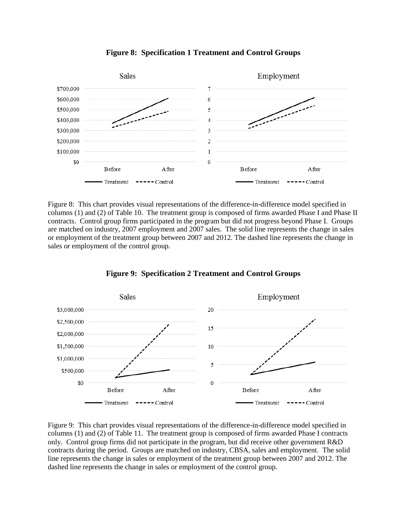

**Figure 8: Specification 1 Treatment and Control Groups**

Figure 8: This chart provides visual representations of the difference-in-difference model specified in columns (1) and (2) of Table 10. The treatment group is composed of firms awarded Phase I and Phase II contracts. Control group firms participated in the program but did not progress beyond Phase I. Groups are matched on industry, 2007 employment and 2007 sales. The solid line represents the change in sales or employment of the treatment group between 2007 and 2012. The dashed line represents the change in sales or employment of the control group.



**Figure 9: Specification 2 Treatment and Control Groups**

Figure 9: This chart provides visual representations of the difference-in-difference model specified in columns (1) and (2) of Table 11. The treatment group is composed of firms awarded Phase I contracts only. Control group firms did not participate in the program, but did receive other government R&D contracts during the period. Groups are matched on industry, CBSA, sales and employment. The solid line represents the change in sales or employment of the treatment group between 2007 and 2012. The dashed line represents the change in sales or employment of the control group.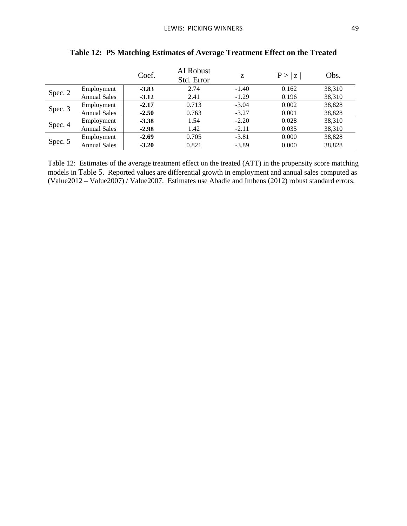<span id="page-48-0"></span>

|         |                     | Coef.   | AI Robust<br>Std. Error | Z       | P >  z | Obs.   |
|---------|---------------------|---------|-------------------------|---------|--------|--------|
|         | Employment          | $-3.83$ | 2.74                    | $-1.40$ | 0.162  | 38,310 |
| Spec. 2 | <b>Annual Sales</b> | $-3.12$ | 2.41                    | $-1.29$ | 0.196  | 38,310 |
| Spec. 3 | Employment          | $-2.17$ | 0.713                   | $-3.04$ | 0.002  | 38,828 |
|         | <b>Annual Sales</b> | $-2.50$ | 0.763                   | $-3.27$ | 0.001  | 38,828 |
|         | Employment          | $-3.38$ | 1.54                    | $-2.20$ | 0.028  | 38,310 |
| Spec. 4 | <b>Annual Sales</b> | $-2.98$ | 1.42                    | $-2.11$ | 0.035  | 38,310 |
| Spec. 5 | Employment          | $-2.69$ | 0.705                   | $-3.81$ | 0.000  | 38,828 |
|         | <b>Annual Sales</b> | $-3.20$ | 0.821                   | $-3.89$ | 0.000  | 38,828 |

# **Table 12: PS Matching Estimates of Average Treatment Effect on the Treated**

[Table 12:](#page-48-0) Estimates of the average treatment effect on the treated (ATT) in the propensity score matching models in Table 5. Reported values are differential growth in employment and annual sales computed as (Value2012 – Value2007) / Value2007. Estimates use Abadie and Imbens (2012) robust standard errors.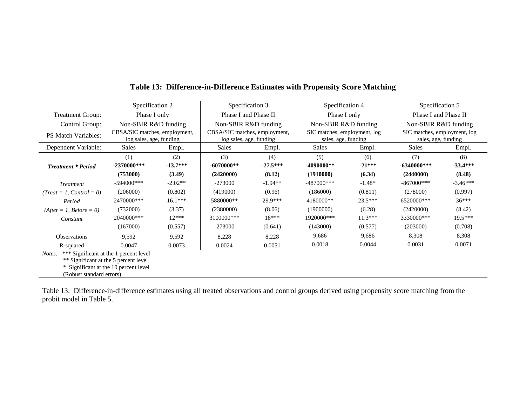|                            | Specification 2                                          |            | Specification 3                                          |            | Specification 4                                     |           | Specification 5                                     |            |
|----------------------------|----------------------------------------------------------|------------|----------------------------------------------------------|------------|-----------------------------------------------------|-----------|-----------------------------------------------------|------------|
| <b>Treatment Group:</b>    | Phase I only                                             |            | Phase I and Phase II                                     |            | Phase I only                                        |           | Phase I and Phase II                                |            |
| Control Group:             | Non-SBIR R&D funding                                     |            | Non-SBIR R&D funding                                     |            | Non-SBIR R&D funding                                |           | Non-SBIR R&D funding                                |            |
| <b>PS Match Variables:</b> | CBSA/SIC matches, employment,<br>log sales, age, funding |            | CBSA/SIC matches, employment,<br>log sales, age, funding |            | SIC matches, employment, log<br>sales, age, funding |           | SIC matches, employment, log<br>sales, age, funding |            |
| Dependent Variable:        | Sales                                                    | Empl.      | <b>Sales</b>                                             | Empl.      | <b>Sales</b>                                        | Empl.     | <b>Sales</b>                                        | Empl.      |
|                            | (1)                                                      | (2)        | (3)                                                      | (4)        | (5)                                                 | (6)       | (7)                                                 | (8)        |
| <b>Treatment * Period</b>  | $-2370000$ ***                                           | $-13.7***$ | $-6070000**$                                             | $-27.5***$ | $-4090000**$                                        | $-21***$  | $-6340000$ ***                                      | $-33.4***$ |
|                            | (753000)                                                 | (3.49)     | (2420000)                                                | (8.12)     | (1910000)                                           | (6.34)    | (2440000)                                           | (8.48)     |
| <b>Treatment</b>           | $-594000$ ***                                            | $-2.02**$  | $-273000$                                                | $-1.94**$  | $-487000$ ***                                       | $-1.48*$  | $-867000$ ***                                       | $-3.46***$ |
| $(Treat = 1, Control = 0)$ | (206000)                                                 | (0.802)    | (419000)                                                 | (0.96)     | (186000)                                            | (0.811)   | (278000)                                            | (0.997)    |
| Period                     | 2470000***                                               | $16.1***$  | 5880000**                                                | 29.9***    | 4180000**                                           | $23.5***$ | 6520000***                                          | $36***$    |
| $(After = 1, Before = 0)$  | (732000)                                                 | (3.37)     | (2380000)                                                | (8.06)     | (1900000)                                           | (6.28)    | (2420000)                                           | (8.42)     |
| Constant                   | 2040000***                                               | $12***$    | 3100000***                                               | $18***$    | 1920000***                                          | $11.3***$ | 3330000***                                          | $19.5***$  |
|                            | (167000)                                                 | (0.557)    | $-273000$                                                | (0.641)    | (143000)                                            | (0.577)   | (203000)                                            | (0.708)    |
| <b>Observations</b>        | 9,592                                                    | 9,592      | 8,228                                                    | 8,228      | 9,686                                               | 9,686     | 8,308                                               | 8,308      |
| R-squared                  | 0.0047                                                   | 0.0073     | 0.0024                                                   | 0.0051     | 0.0018                                              | 0.0044    | 0.0031                                              | 0.0071     |

## **Table 13: Difference-in-Difference Estimates with Propensity Score Matching**

<span id="page-49-0"></span>*Notes:* \*\*\* Significant at the 1 percent level

\*\* Significant at the 5 percent level

\* Significant at the 10 percent level

(Robust standard errors)

Table 13: Difference-in-difference estimates using all treated observations and control groups derived using propensity score matching from the probit model in [Table 5.](#page-42-1)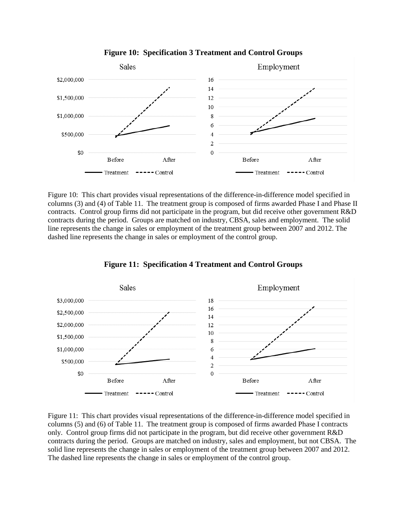

**Figure 10: Specification 3 Treatment and Control Groups**

Figure 10: This chart provides visual representations of the difference-in-difference model specified in columns (3) and (4) of Table 11. The treatment group is composed of firms awarded Phase I and Phase II contracts. Control group firms did not participate in the program, but did receive other government R&D contracts during the period. Groups are matched on industry, CBSA, sales and employment. The solid line represents the change in sales or employment of the treatment group between 2007 and 2012. The dashed line represents the change in sales or employment of the control group.



**Figure 11: Specification 4 Treatment and Control Groups**

Figure 11: This chart provides visual representations of the difference-in-difference model specified in columns (5) and (6) of Table 11. The treatment group is composed of firms awarded Phase I contracts only. Control group firms did not participate in the program, but did receive other government R&D contracts during the period. Groups are matched on industry, sales and employment, but not CBSA. The solid line represents the change in sales or employment of the treatment group between 2007 and 2012. The dashed line represents the change in sales or employment of the control group.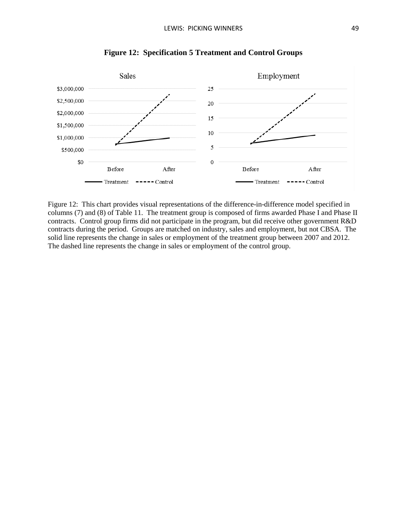

**Figure 12: Specification 5 Treatment and Control Groups**

Figure 12: This chart provides visual representations of the difference-in-difference model specified in columns (7) and (8) of Table 11. The treatment group is composed of firms awarded Phase I and Phase II contracts. Control group firms did not participate in the program, but did receive other government R&D contracts during the period. Groups are matched on industry, sales and employment, but not CBSA. The solid line represents the change in sales or employment of the treatment group between 2007 and 2012. The dashed line represents the change in sales or employment of the control group.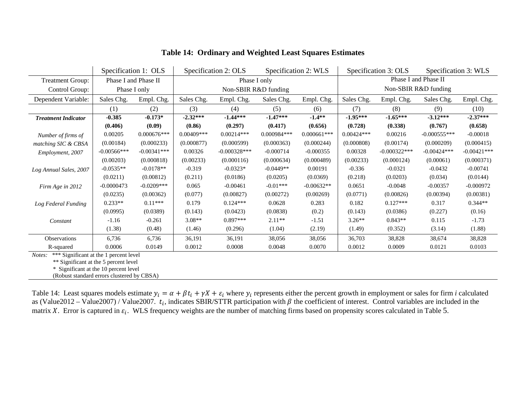<span id="page-52-1"></span>

|                                                 |                | Specification 1: OLS |                      | Specification 2: OLS |                                                      | Specification 2: WLS | Specification 3: OLS |                | Specification 3: WLS |               |  |  |  |
|-------------------------------------------------|----------------|----------------------|----------------------|----------------------|------------------------------------------------------|----------------------|----------------------|----------------|----------------------|---------------|--|--|--|
| Phase I and Phase II<br><b>Treatment Group:</b> |                |                      |                      |                      | Phase I only                                         |                      | Phase I and Phase II |                |                      |               |  |  |  |
| Control Group:                                  |                | Phase I only         | Non-SBIR R&D funding |                      |                                                      |                      | Non-SBIR R&D funding |                |                      |               |  |  |  |
| Dependent Variable:                             | Sales Chg.     | Empl. Chg.           | Sales Chg.           | Empl. Chg.           | Sales Chg.                                           | Empl. Chg.           | Sales Chg.           | Empl. Chg.     | Sales Chg.           | Empl. Chg.    |  |  |  |
|                                                 | (2)<br>(1)     |                      |                      | (4)                  | (5)                                                  | (6)                  | (7)                  | (8)            | (9)                  | (10)          |  |  |  |
| <b>Treatment Indicator</b>                      | $-0.385$       | $-0.173*$            | $-2.32***$           | $-1.44***$           | $-1.47***$                                           | $-1.4**$             | $-1.95***$           | $-1.65***$     | $-3.12***$           | $-2.37***$    |  |  |  |
|                                                 | (0.406)        | (0.09)               | (0.86)               | (0.297)              | (0.417)                                              | (0.656)              | (0.728)              | (0.338)        | (0.767)              | (0.658)       |  |  |  |
| Number of firms of                              | 0.00205        | $0.000676***$        | $0.00409***$         | $0.00214***$         | 0.000984***                                          | $0.000661***$        | $0.00424***$         | 0.00216        | $-0.000555***$       | $-0.00018$    |  |  |  |
| matching SIC & CBSA                             | (0.00184)      | (0.000233)           | (0.000877)           | (0.000599)           | (0.000363)                                           | (0.000244)           | (0.000808)           | (0.00174)      | (0.000209)           | (0.000415)    |  |  |  |
| Employment, 2007                                | $-0.00566$ *** | $-0.00341***$        | 0.00326              | $-0.000328***$       | $-0.000714$                                          | $-0.000355$          | 0.00328              | $-0.000322***$ | $-0.00424***$        | $-0.00421***$ |  |  |  |
|                                                 | (0.00203)      | (0.000818)           | (0.00233)            | (0.000116)           | (0.000634)                                           | (0.000489)           | (0.00233)            | (0.000124)     | (0.00061)            | (0.000371)    |  |  |  |
| Log Annual Sales, 2007                          | $-0.0535**$    | $-0.0178**$          | $-0.319$             | $-0.0323*$           | $-0.0449**$                                          | 0.00191              | $-0.336$             | $-0.0321$      | $-0.0432$            | $-0.00741$    |  |  |  |
|                                                 | (0.0211)       | (0.00812)            | (0.211)              | (0.0186)             | (0.0205)                                             | (0.0369)             | (0.218)              | (0.0203)       | (0.034)              | (0.0144)      |  |  |  |
| Firm Age in 2012                                | $-0.0000473$   | $-0.0209***$         | 0.065                | $-0.00461$           | $-0.01***$                                           | $-0.00632**$         | 0.0651               | $-0.0048$      | $-0.00357$           | $-0.000972$   |  |  |  |
|                                                 | (0.0235)       | (0.00362)            | (0.077)              | (0.00827)            | (0.00272)                                            | (0.00269)            | (0.0771)             | (0.00826)      | (0.00394)            | (0.00381)     |  |  |  |
| Log Federal Funding                             | $0.233**$      | $0.11***$            | 0.179                | $0.124***$           | 0.0628                                               | 0.283                | 0.182                | $0.127***$     | 0.317                | $0.344**$     |  |  |  |
|                                                 | (0.0995)       | (0.0389)             | (0.143)              | (0.0423)             | (0.0838)                                             | (0.2)                | (0.143)              | (0.0386)       | (0.227)              | (0.16)        |  |  |  |
| Constant                                        | $-1.16$        | $-0.261$             | $3.08**$             | $0.897***$           | $2.11**$                                             | $-1.51$              | $3.26**$             | $0.843**$      | 0.115                | $-1.73$       |  |  |  |
|                                                 | (1.38)         | (0.48)               | (1.46)               | (0.296)              | (1.04)                                               | (2.19)               | (1.49)               | (0.352)        | (3.14)               | (1.88)        |  |  |  |
| Observations                                    | 6,736          | 6,736                | 36,191               | 36,191               | 38,056                                               | 38,056               | 36,703               | 38,828         | 38,674               | 38,828        |  |  |  |
| R-squared                                       | 0.0006         | 0.0149               | 0.0012               | 0.0008               | 0.0048                                               | 0.0070               | 0.0012               | 0.0009         | 0.0121               | 0.0103        |  |  |  |
|                                                 |                |                      |                      |                      | <i>Notes:</i> *** Significant at the 1 percent level |                      |                      |                |                      |               |  |  |  |

## **Table 14: Ordinary and Weighted Least Squares Estimates**

<span id="page-52-0"></span>

\*\* Significant at the 5 percent level

\* Significant at the 10 percent level

(Robust standard errors clustered by CBSA)

[Table 14:](#page-52-1) Least squares models estimate  $y_i = \alpha + \beta t_i + \gamma X + \varepsilon_i$  where  $y_i$  represents either the percent growth in employment or sales for firm *i* calculated as (Value2012 – Value2007) / Value2007.  $t_i$ , indicates SBIR/STTR participation with  $\beta$  the coefficient of interest. Control variables are included in the matrix X. Error is captured in  $\varepsilon_i$ . WLS frequency weights are the number of matching firms based on propensity scores calculated in Table 5.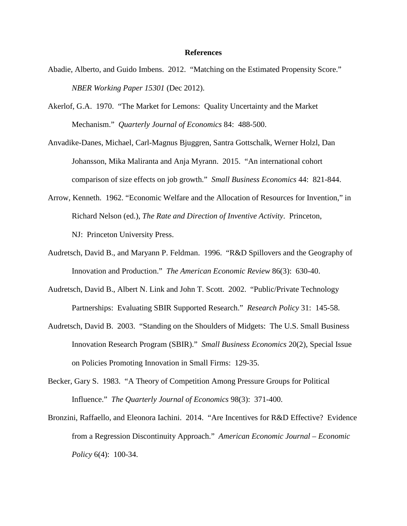#### **References**

- Abadie, Alberto, and Guido Imbens. 2012. "Matching on the Estimated Propensity Score." *NBER Working Paper 15301* (Dec 2012).
- Akerlof, G.A. 1970. "The Market for Lemons: Quality Uncertainty and the Market Mechanism." *Quarterly Journal of Economics* 84: 488-500.

Anvadike-Danes, Michael, Carl-Magnus Bjuggren, Santra Gottschalk, Werner Holzl, Dan Johansson, Mika Maliranta and Anja Myrann. 2015. "An international cohort comparison of size effects on job growth." *Small Business Economics* 44: 821-844.

- Arrow, Kenneth. 1962. "Economic Welfare and the Allocation of Resources for Invention," in Richard Nelson (ed.), *The Rate and Direction of Inventive Activity*. Princeton, NJ: Princeton University Press.
- Audretsch, David B., and Maryann P. Feldman. 1996. "R&D Spillovers and the Geography of Innovation and Production." *The American Economic Review* 86(3): 630-40.
- Audretsch, David B., Albert N. Link and John T. Scott. 2002. "Public/Private Technology Partnerships: Evaluating SBIR Supported Research." *Research Policy* 31: 145-58.
- Audretsch, David B. 2003. "Standing on the Shoulders of Midgets: The U.S. Small Business Innovation Research Program (SBIR)." *Small Business Economics* 20(2), Special Issue on Policies Promoting Innovation in Small Firms: 129-35.
- Becker, Gary S. 1983. "A Theory of Competition Among Pressure Groups for Political Influence." *The Quarterly Journal of Economics* 98(3): 371-400.
- Bronzini, Raffaello, and Eleonora Iachini. 2014. "Are Incentives for R&D Effective? Evidence from a Regression Discontinuity Approach." *American Economic Journal – Economic Policy* 6(4): 100-34.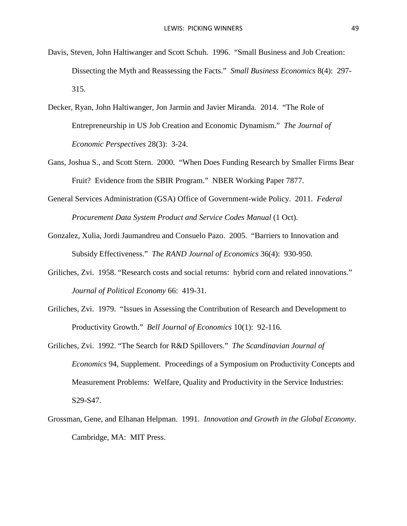- Davis, Steven, John Haltiwanger and Scott Schuh. 1996. "Small Business and Job Creation: Dissecting the Myth and Reassessing the Facts." *Small Business Economics* 8(4): 297- 315.
- Decker, Ryan, John Haltiwanger, Jon Jarmin and Javier Miranda. 2014. "The Role of Entrepreneurship in US Job Creation and Economic Dynamism." *The Journal of Economic Perspectives* 28(3): 3-24.
- Gans, Joshua S., and Scott Stern. 2000. "When Does Funding Research by Smaller Firms Bear Fruit? Evidence from the SBIR Program." NBER Working Paper 7877.
- General Services Administration (GSA) Office of Government-wide Policy. 2011. *Federal Procurement Data System Product and Service Codes Manual* (1 Oct).
- Gonzalez, Xulia, Jordi Jaumandreu and Consuelo Pazo. 2005. "Barriers to Innovation and Subsidy Effectiveness." *The RAND Journal of Economics* 36(4): 930-950.
- Griliches, Zvi. 1958. "Research costs and social returns: hybrid corn and related innovations." *Journal of Political Economy* 66: 419-31.
- Griliches, Zvi. 1979. "Issues in Assessing the Contribution of Research and Development to Productivity Growth." *Bell Journal of Economics* 10(1): 92-116.
- Griliches, Zvi. 1992. "The Search for R&D Spillovers." *The Scandinavian Journal of Economics* 94, Supplement. Proceedings of a Symposium on Productivity Concepts and Measurement Problems: Welfare, Quality and Productivity in the Service Industries: S29-S47.
- Grossman, Gene, and Elhanan Helpman. 1991. *Innovation and Growth in the Global Economy*. Cambridge, MA: MIT Press.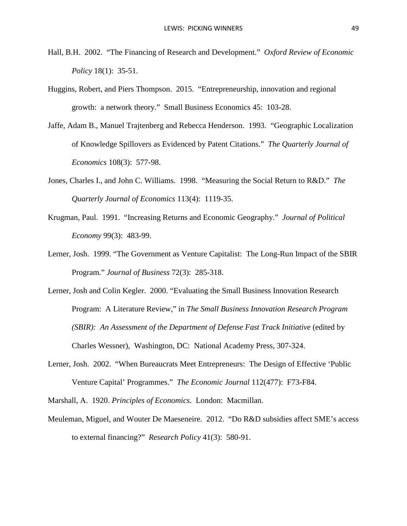- Hall, B.H. 2002. "The Financing of Research and Development." *Oxford Review of Economic Policy* 18(1): 35-51.
- Huggins, Robert, and Piers Thompson. 2015. "Entrepreneurship, innovation and regional growth: a network theory." Small Business Economics 45: 103-28.
- Jaffe, Adam B., Manuel Trajtenberg and Rebecca Henderson. 1993. "Geographic Localization of Knowledge Spillovers as Evidenced by Patent Citations." *The Quarterly Journal of Economics* 108(3): 577-98.
- Jones, Charles I., and John C. Williams. 1998. "Measuring the Social Return to R&D." *The Quarterly Journal of Economics* 113(4): 1119-35.
- Krugman, Paul. 1991. "Increasing Returns and Economic Geography." *Journal of Political Economy* 99(3): 483-99.
- Lerner, Josh. 1999. "The Government as Venture Capitalist: The Long-Run Impact of the SBIR Program." *Journal of Business* 72(3): 285-318.
- Lerner, Josh and Colin Kegler. 2000. "Evaluating the Small Business Innovation Research Program: A Literature Review," in *The Small Business Innovation Research Program (SBIR): An Assessment of the Department of Defense Fast Track Initiative* (edited by Charles Wessner), Washington, DC: National Academy Press, 307-324.
- Lerner, Josh. 2002. "When Bureaucrats Meet Entrepreneurs: The Design of Effective 'Public Venture Capital' Programmes." *The Economic Journal* 112(477): F73-F84.
- Marshall, A. 1920. *Principles of Economics*. London: Macmillan.
- Meuleman, Miguel, and Wouter De Maeseneire. 2012. "Do R&D subsidies affect SME's access to external financing?" *Research Policy* 41(3): 580-91.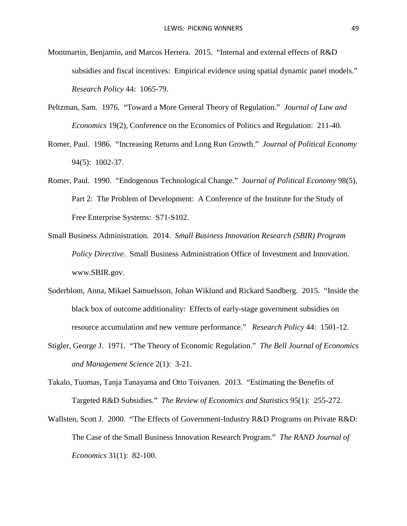- Montmartin, Benjamin, and Marcos Herrera. 2015. "Internal and external effects of R&D subsidies and fiscal incentives: Empirical evidence using spatial dynamic panel models." *Research Policy* 44: 1065-79.
- Peltzman, Sam. 1976. "Toward a More General Theory of Regulation." *Journal of Law and Economics* 19(2), Conference on the Economics of Politics and Regulation: 211-40.
- Romer, Paul. 1986. "Increasing Returns and Long Run Growth." *Journal of Political Economy* 94(5): 1002-37.
- Romer, Paul. 1990. "Endogenous Technological Change." *Journal of Political Economy* 98(5), Part 2: The Problem of Development: A Conference of the Institute for the Study of Free Enterprise Systems: S71-S102.
- Small Business Administration. 2014. *Small Business Innovation Research (SBIR) Program Policy Directive*. Small Business Administration Office of Investment and Innovation. www.SBIR.gov.
- Soderblom, Anna, Mikael Samuelsson, Johan Wiklund and Rickard Sandberg. 2015. "Inside the black box of outcome additionality: Effects of early-stage government subsidies on resource accumulation and new venture performance." *Research Policy* 44: 1501-12.
- Stigler, George J. 1971. "The Theory of Economic Regulation." *The Bell Journal of Economics and Management Science* 2(1): 3-21.
- Takalo, Tuomas, Tanja Tanayama and Otto Toivanen. 2013. "Estimating the Benefits of Targeted R&D Subsidies." *The Review of Economics and Statistics* 95(1): 255-272.
- Wallsten, Scott J. 2000. "The Effects of Government-Industry R&D Programs on Private R&D: The Case of the Small Business Innovation Research Program." *The RAND Journal of Economics* 31(1): 82-100.